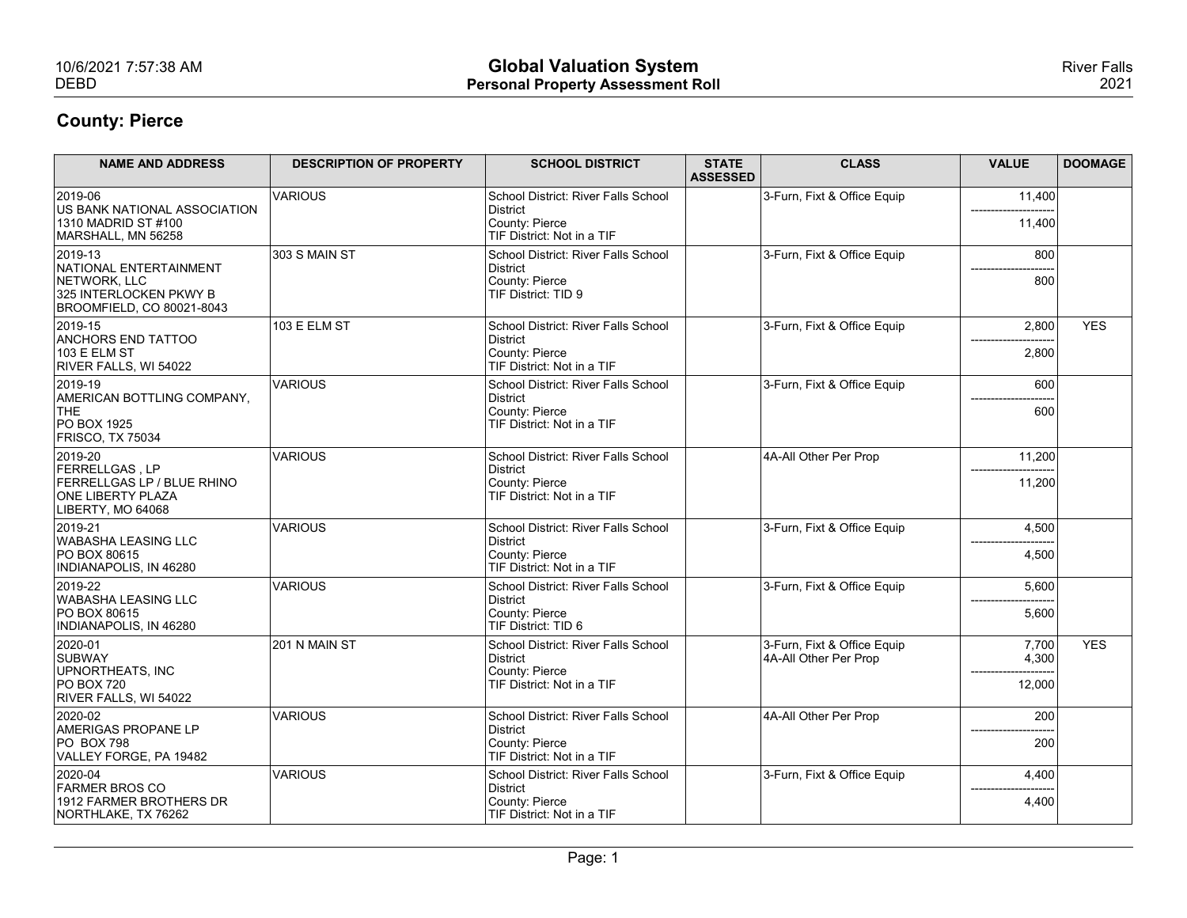| 10/6/2021 7:57:38 AM                                                 |                                | <b>Global Valuation System</b>                                    |                 |                             |                  | <b>River Falls</b> |
|----------------------------------------------------------------------|--------------------------------|-------------------------------------------------------------------|-----------------|-----------------------------|------------------|--------------------|
| <b>DEBD</b>                                                          |                                | <b>Personal Property Assessment Roll</b>                          |                 |                             |                  | 2021               |
| <b>County: Pierce</b>                                                |                                |                                                                   |                 |                             |                  |                    |
| <b>NAME AND ADDRESS</b>                                              | <b>DESCRIPTION OF PROPERTY</b> | <b>SCHOOL DISTRICT</b>                                            | <b>STATE</b>    | <b>CLASS</b>                | <b>VALUE</b>     | <b>DOOMAGE</b>     |
|                                                                      |                                |                                                                   | <b>ASSESSED</b> |                             |                  |                    |
| 2019-06<br>US BANK NATIONAL ASSOCIATION                              | <b>VARIOUS</b>                 | School District: River Falls School<br>District                   |                 | 3-Furn, Fixt & Office Equip | 11,400           |                    |
| 1310 MADRID ST #100<br>MARSHALL, MN 56258                            |                                | County: Pierce<br>TIF District: Not in a TIF                      |                 |                             | 11,400           |                    |
| 2019-13<br>NATIONAL ENTERTAINMENT                                    | 303 S MAIN ST                  | School District: River Falls School<br>District                   |                 | 3-Furn, Fixt & Office Equip | 800              |                    |
| NETWORK, LLC<br>325 INTERLOCKEN PKWY B<br>BROOMFIELD, CO 80021-8043  |                                | County: Pierce<br>TIF District: TID 9                             |                 |                             | 800              |                    |
| $ 2019-15 $                                                          | 103 E ELM ST                   | School District: River Falls School                               |                 | 3-Furn, Fixt & Office Equip | 2,800            | <b>YES</b>         |
| <b>ANCHORS END TATTOO</b><br>103 E ELM ST<br>RIVER FALLS, WI 54022   |                                | District<br>County: Pierce<br>TIF District: Not in a TIF          |                 |                             | 2,800            |                    |
| 2019-19<br>AMERICAN BOTTLING COMPANY,                                | <b>VARIOUS</b>                 | School District: River Falls School<br>District                   |                 | 3-Furn, Fixt & Office Equip | 600              |                    |
| THE<br>PO BOX 1925                                                   |                                | County: Pierce<br>TIF District: Not in a TIF                      |                 |                             | 600              |                    |
| FRISCO, TX 75034<br>2019-20                                          | VARIOUS                        |                                                                   |                 |                             |                  |                    |
| FERRELLGAS, LP<br><b>FERRELLGAS LP / BLUE RHINO</b>                  |                                | School District: River Falls School<br>District<br>County: Pierce |                 | 4A-All Other Per Prop       | 11,200<br>11,200 |                    |
| <b>ONE LIBERTY PLAZA</b><br>LIBERTY, MO 64068                        |                                | TIF District: Not in a TIF                                        |                 |                             |                  |                    |
| 2019-21<br><b>WABASHA LEASING LLC</b>                                | <b>VARIOUS</b>                 | School District: River Falls School<br>District                   |                 | 3-Furn, Fixt & Office Equip | 4,500            |                    |
| PO BOX 80615<br>INDIANAPOLIS, IN 46280                               |                                | County: Pierce<br>TIF District: Not in a TIF                      |                 |                             | ------<br>4,500  |                    |
| 2019-22                                                              | VARIOUS                        | School District: River Falls School                               |                 | 3-Furn, Fixt & Office Equip | 5,600            |                    |
| <b>WABASHA LEASING LLC</b><br>PO BOX 80615<br>INDIANAPOLIS, IN 46280 |                                | District<br>County: Pierce<br>TIF District: TID 6                 |                 |                             | 5,600            |                    |
| 2020-01                                                              | 201 N MAIN ST                  | School District: River Falls School                               |                 | 3-Furn, Fixt & Office Equip | 7,700            | <b>YES</b>         |
| SUBWAY<br>UPNORTHEATS, INC                                           |                                | District<br>County: Pierce                                        |                 | 4A-All Other Per Prop       | 4,300            |                    |
| <b>PO BOX 720</b><br>RIVER FALLS, WI 54022                           |                                | TIF District: Not in a TIF                                        |                 |                             | 12,000           |                    |
| 2020-02<br>AMERIGAS PROPANE LP                                       | VARIOUS                        | School District: River Falls School<br>District                   |                 | 4A-All Other Per Prop       | 200              |                    |
| $PO$ BOX 798<br>VALLEY FORGE, PA 19482                               |                                | County: Pierce<br>TIF District: Not in a TIF                      |                 |                             | 200              |                    |
| 2020-04<br><b>FARMER BROS CO</b>                                     | <b>VARIOUS</b>                 | School District: River Falls School<br>District                   |                 | 3-Furn, Fixt & Office Equip | 4,400            |                    |
| 1912 FARMER BROTHERS DR                                              |                                | County: Pierce<br>TIF District: Not in a TIF                      |                 |                             | 4,400            |                    |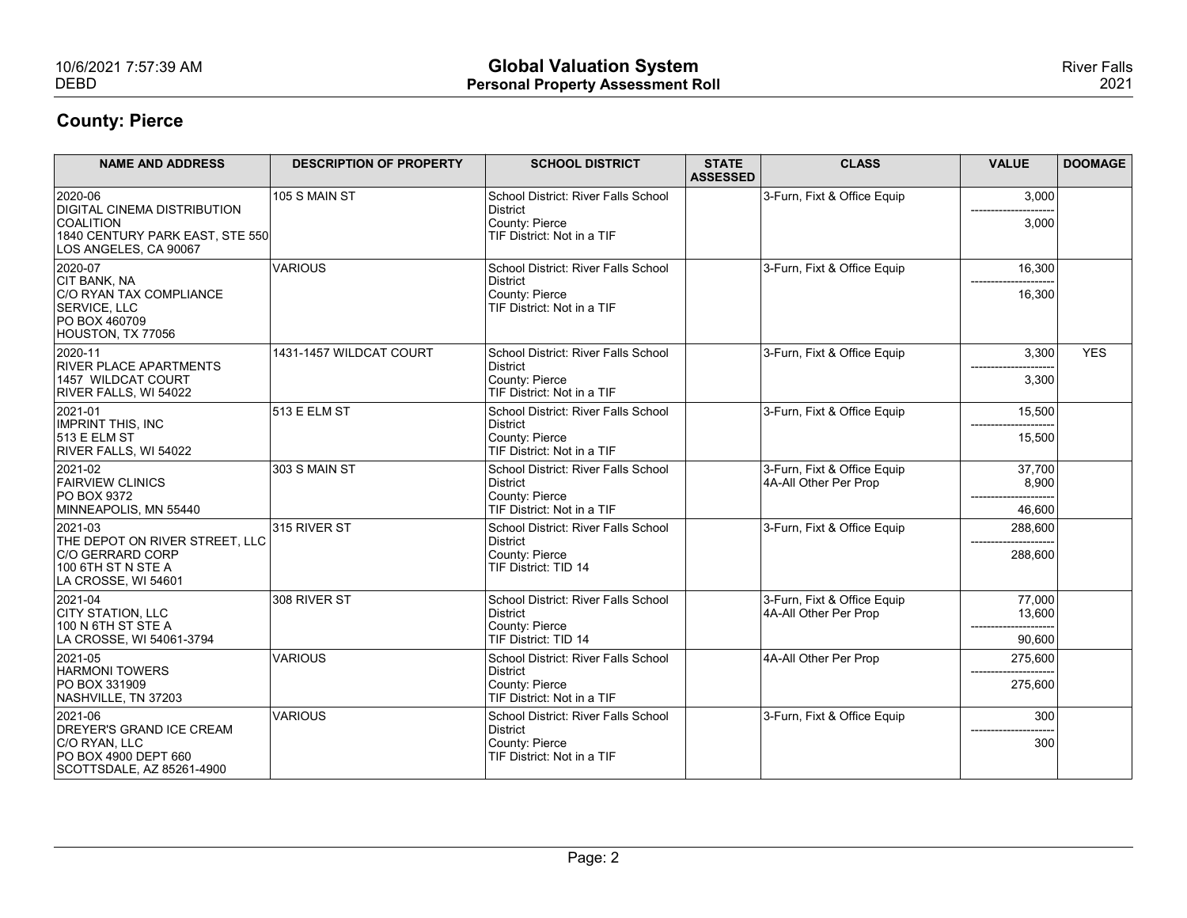| 10/6/2021 7:57:39 AM<br><b>DEBD</b>                                                                         |                                | <b>Global Valuation System</b>                                                                  |                                 |                                                      |                  | <b>River Falls</b> |
|-------------------------------------------------------------------------------------------------------------|--------------------------------|-------------------------------------------------------------------------------------------------|---------------------------------|------------------------------------------------------|------------------|--------------------|
|                                                                                                             |                                | <b>Personal Property Assessment Roll</b>                                                        |                                 |                                                      |                  | 2021               |
| <b>County: Pierce</b>                                                                                       |                                |                                                                                                 |                                 |                                                      |                  |                    |
| <b>NAME AND ADDRESS</b>                                                                                     | <b>DESCRIPTION OF PROPERTY</b> | <b>SCHOOL DISTRICT</b>                                                                          | <b>STATE</b><br><b>ASSESSED</b> | <b>CLASS</b>                                         | <b>VALUE</b>     | <b>DOOMAGE</b>     |
| 2020-06<br><b>DIGITAL CINEMA DISTRIBUTION</b><br><b>COALITION</b><br>1840 CENTURY PARK EAST, STE 550        | 105 S MAIN ST                  | School District: River Falls School<br>District<br>County: Pierce<br>TIF District: Not in a TIF |                                 | 3-Furn, Fixt & Office Equip                          | 3,000<br>3,000   |                    |
| LOS ANGELES, CA 90067<br>2020-07                                                                            | <b>VARIOUS</b>                 | School District: River Falls School                                                             |                                 | 3-Furn, Fixt & Office Equip                          | 16,300           |                    |
| <b>CIT BANK, NA</b><br><b>C/O RYAN TAX COMPLIANCE</b><br>SERVICE, LLC<br>PO BOX 460709<br>HOUSTON, TX 77056 |                                | District<br>County: Pierce<br>TIF District: Not in a TIF                                        |                                 |                                                      | 16,300           |                    |
| $ 2020 - 11$<br><b>RIVER PLACE APARTMENTS</b>                                                               | 1431-1457 WILDCAT COURT        | School District: River Falls School<br>District                                                 |                                 | 3-Furn, Fixt & Office Equip                          | 3,300            | YES                |
| 1457 WILDCAT COURT<br>RIVER FALLS, WI 54022                                                                 |                                | County: Pierce<br>TIF District: Not in a TIF                                                    |                                 |                                                      | 3,300            |                    |
| 2021-01<br>IMPRINT THIS, INC<br>$513$ E ELM ST                                                              | $513$ E ELM ST                 | School District: River Falls School<br>District<br>County: Pierce                               |                                 | 3-Furn, Fixt & Office Equip                          | 15,500<br>15,500 |                    |
| RIVER FALLS, WI 54022                                                                                       |                                | TIF District: Not in a TIF                                                                      |                                 |                                                      |                  |                    |
| 2021-02<br><b>FAIRVIEW CLINICS</b><br><b>PO BOX 9372</b>                                                    | 303 S MAIN ST                  | School District: River Falls School<br>District<br>County: Pierce                               |                                 | 3-Furn, Fixt & Office Equip<br>4A-All Other Per Prop | 37,700<br>8,900  |                    |
| MINNEAPOLIS, MN 55440                                                                                       |                                | TIF District: Not in a TIF                                                                      |                                 |                                                      | ------<br>46,600 |                    |
| 2021-03<br>THE DEPOT ON RIVER STREET, LLC                                                                   | 315 RIVER ST                   | School District: River Falls School<br>District                                                 |                                 | 3-Furn, Fixt & Office Equip                          | 288,600          |                    |
| C/O GERRARD CORP<br>$100$ 6TH ST N STE A<br>LA CROSSE, WI 54601                                             |                                | County: Pierce<br>TIF District: TID 14                                                          |                                 |                                                      | 288,600          |                    |
| 2021-04<br>CITY STATION, LLC<br>100 N 6TH ST STE A                                                          | 308 RIVER ST                   | School District: River Falls School<br>District<br>County: Pierce                               |                                 | 3-Furn, Fixt & Office Equip<br>4A-All Other Per Prop | 77,000<br>13,600 |                    |
| LA CROSSE, WI 54061-3794                                                                                    |                                | TIF District: TID 14                                                                            |                                 |                                                      | 90,600           |                    |
| 2021-05<br><b>HARMONI TOWERS</b>                                                                            | VARIOUS                        | School District: River Falls School<br>District                                                 |                                 | 4A-All Other Per Prop                                | 275,600          |                    |
| <b>PO BOX 331909</b><br>NASHVILLE, TN 37203                                                                 |                                | County: Pierce<br>TIF District: Not in a TIF                                                    |                                 |                                                      | 275,600          |                    |
|                                                                                                             | VARIOUS                        | School District: River Falls School<br>District<br>County: Pierce                               |                                 | 3-Furn, Fixt & Office Equip                          | 300<br>300       |                    |
| 2021-06<br>DREYER'S GRAND ICE CREAM<br>C/O RYAN, LLC                                                        |                                |                                                                                                 |                                 |                                                      |                  |                    |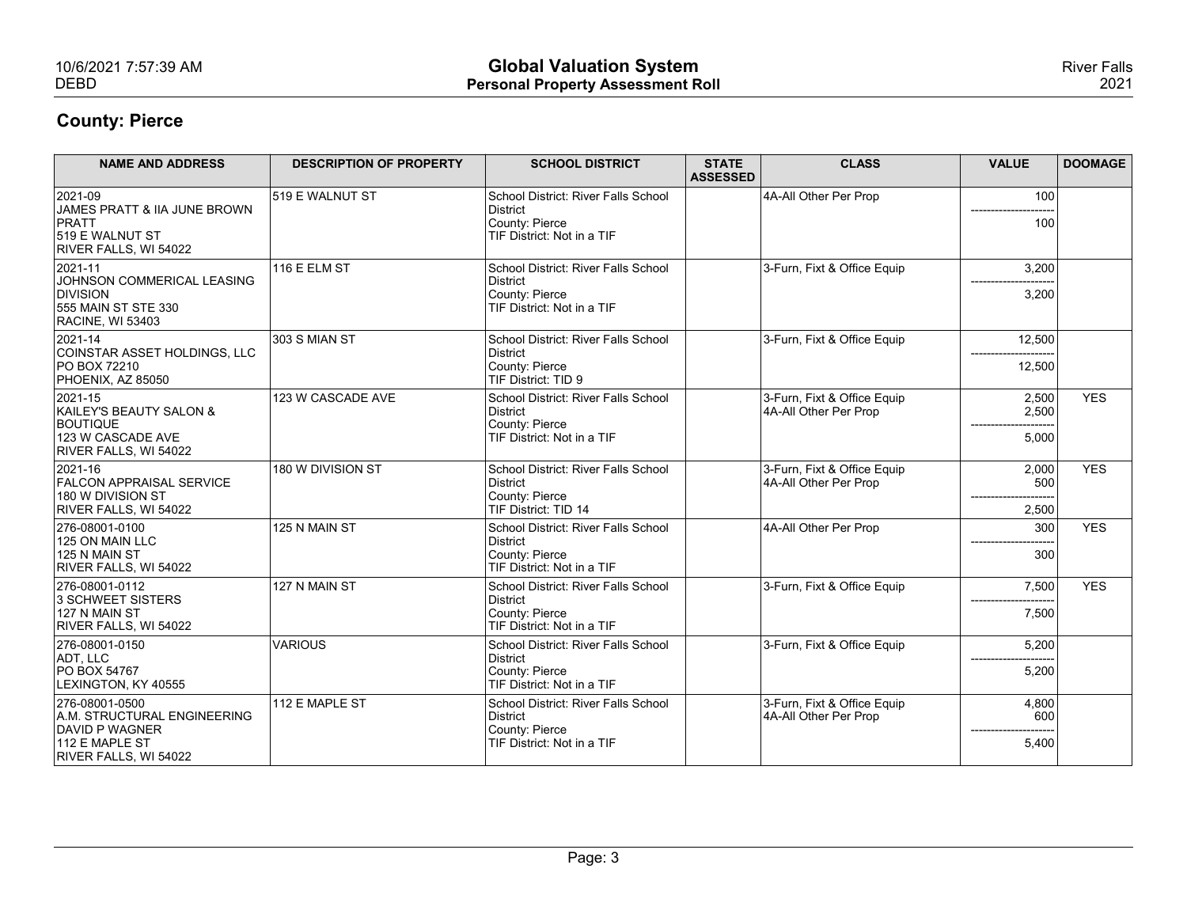| 10/6/2021 7:57:39 AM<br><b>DEBD</b>                                                             |                                | <b>Global Valuation System</b><br><b>Personal Property Assessment Roll</b> |                                 |                                                      |                                 | <b>River Falls</b><br>2021 |
|-------------------------------------------------------------------------------------------------|--------------------------------|----------------------------------------------------------------------------|---------------------------------|------------------------------------------------------|---------------------------------|----------------------------|
|                                                                                                 |                                |                                                                            |                                 |                                                      |                                 |                            |
| <b>County: Pierce</b>                                                                           |                                |                                                                            |                                 |                                                      |                                 |                            |
| <b>NAME AND ADDRESS</b>                                                                         | <b>DESCRIPTION OF PROPERTY</b> | <b>SCHOOL DISTRICT</b>                                                     | <b>STATE</b><br><b>ASSESSED</b> | <b>CLASS</b>                                         | <b>VALUE</b>                    | <b>DOOMAGE</b>             |
| 2021-09<br>JAMES PRATT & IIA JUNE BROWN                                                         | 519 E WALNUT ST                | School District: River Falls School<br>District                            |                                 | 4A-All Other Per Prop                                | 100                             |                            |
| PRATT<br>519 E WALNUT ST<br>RIVER FALLS, WI 54022                                               |                                | County: Pierce<br>TIF District: Not in a TIF                               |                                 |                                                      | 100                             |                            |
| 2021-11                                                                                         | $116$ E ELM ST                 | School District: River Falls School                                        |                                 | 3-Furn, Fixt & Office Equip                          | 3,200                           |                            |
| JOHNSON COMMERICAL LEASING<br><b>DIVISION</b><br>555 MAIN ST STE 330<br><b>RACINE, WI 53403</b> |                                | District<br>County: Pierce<br>TIF District: Not in a TIF                   |                                 |                                                      | 3,200                           |                            |
| 2021-14                                                                                         | 303 S MIAN ST                  | School District: River Falls School                                        |                                 | 3-Furn, Fixt & Office Equip                          | 12,500                          |                            |
| COINSTAR ASSET HOLDINGS, LLC<br><b>PO BOX 72210</b><br>PHOENIX, AZ 85050                        |                                | District<br>County: Pierce<br>TIF District: TID 9                          |                                 |                                                      | ---------------------<br>12,500 |                            |
| 2021-15                                                                                         | 123 W CASCADE AVE              | School District: River Falls School                                        |                                 | 3-Furn, Fixt & Office Equip                          | 2,500                           | <b>YES</b>                 |
| KAILEY'S BEAUTY SALON &<br><b>BOUTIQUE</b>                                                      |                                | District<br>County: Pierce                                                 |                                 | 4A-All Other Per Prop                                | 2,500                           |                            |
| 123 W CASCADE AVE<br>RIVER FALLS, WI 54022                                                      |                                | TIF District: Not in a TIF                                                 |                                 |                                                      | 5,000                           |                            |
| 2021-16<br><b>FALCON APPRAISAL SERVICE</b>                                                      | 180 W DIVISION ST              | School District: River Falls School<br>District                            |                                 | 3-Furn, Fixt & Office Equip<br>4A-All Other Per Prop | 2,000<br>500                    | <b>YES</b>                 |
| 180 W DIVISION ST<br>RIVER FALLS, WI 54022                                                      |                                | County: Pierce<br>TIF District: TID 14                                     |                                 |                                                      | 2,500                           |                            |
| 276-08001-0100                                                                                  | 125 N MAIN ST                  | School District: River Falls School                                        |                                 | 4A-All Other Per Prop                                | 300                             | <b>YES</b>                 |
| 125 ON MAIN LLC<br>125 N MAIN ST                                                                |                                | District<br>County: Pierce                                                 |                                 |                                                      | ----------<br>300               |                            |
| RIVER FALLS, WI 54022<br>276-08001-0112                                                         | 127 N MAIN ST                  | TIF District: Not in a TIF<br>School District: River Falls School          |                                 | 3-Furn, Fixt & Office Equip                          | 7,500                           | <b>YES</b>                 |
| 3 SCHWEET SISTERS<br>$127 N$ MAIN ST                                                            |                                | District<br>County: Pierce                                                 |                                 |                                                      | 7,500                           |                            |
|                                                                                                 | VARIOUS                        | TIF District: Not in a TIF                                                 |                                 | 3-Furn, Fixt & Office Equip                          |                                 |                            |
|                                                                                                 |                                | School District: River Falls School<br>District                            |                                 |                                                      | 5,200                           |                            |
| RIVER FALLS, WI 54022<br>276-08001-0150<br>ADT, LLC                                             |                                |                                                                            |                                 |                                                      |                                 |                            |
| PO BOX 54767<br>LEXINGTON, KY 40555                                                             |                                | County: Pierce<br>TIF District: Not in a TIF                               |                                 |                                                      | 5,200                           |                            |
| 276-08001-0500<br>A.M. STRUCTURAL ENGINEERING<br>DAVID P WAGNER                                 | 112 E MAPLE ST                 | School District: River Falls School<br>District<br>County: Pierce          |                                 | 3-Furn, Fixt & Office Equip<br>4A-All Other Per Prop | 4,800<br>600                    |                            |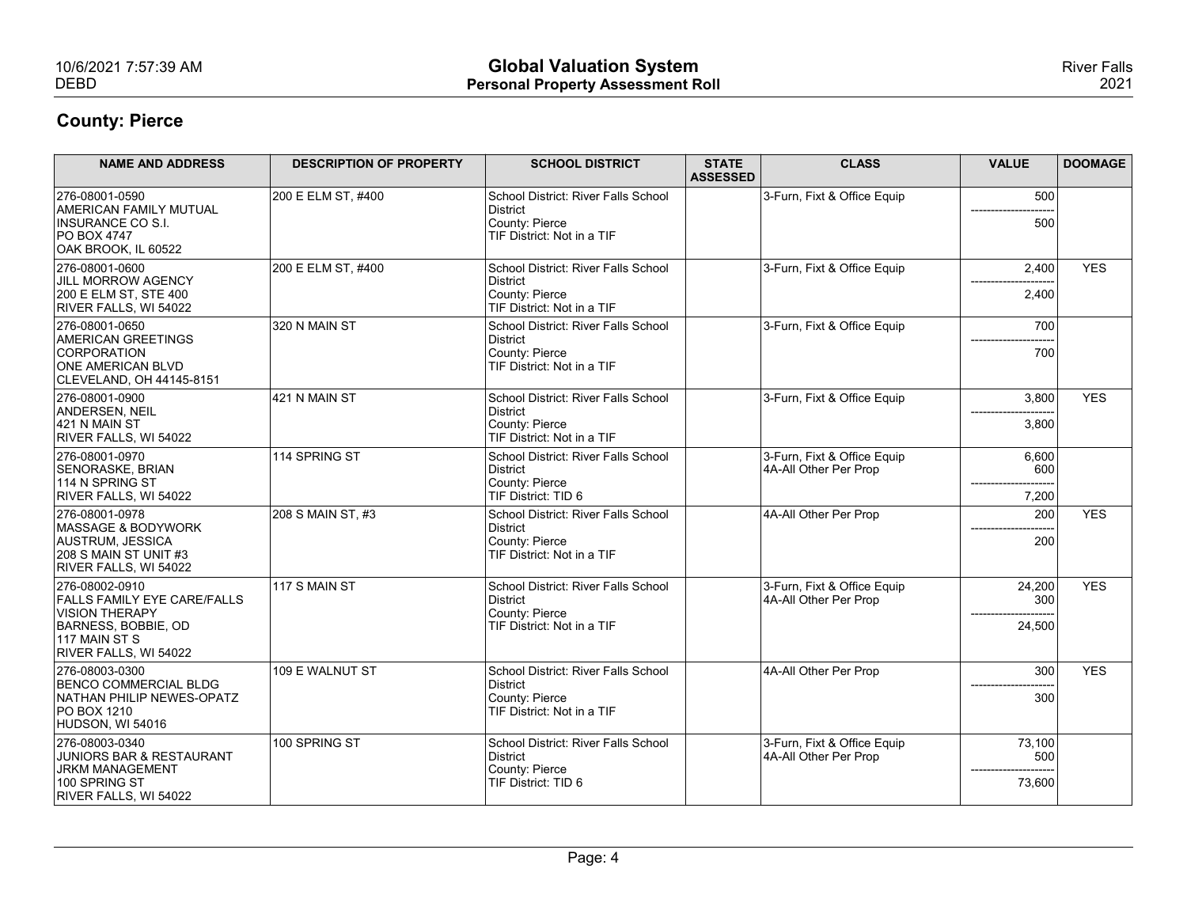| 10/6/2021 7:57:39 AM<br><b>DEBD</b>                                                                                                            |                                | <b>Global Valuation System</b><br><b>Personal Property Assessment Roll</b>                      |                                 |                                                      |                         | <b>River Falls</b><br>2021 |
|------------------------------------------------------------------------------------------------------------------------------------------------|--------------------------------|-------------------------------------------------------------------------------------------------|---------------------------------|------------------------------------------------------|-------------------------|----------------------------|
| <b>County: Pierce</b>                                                                                                                          |                                |                                                                                                 |                                 |                                                      |                         |                            |
| <b>NAME AND ADDRESS</b>                                                                                                                        | <b>DESCRIPTION OF PROPERTY</b> | <b>SCHOOL DISTRICT</b>                                                                          | <b>STATE</b><br><b>ASSESSED</b> | <b>CLASS</b>                                         | <b>VALUE</b>            | <b>DOOMAGE</b>             |
| 276-08001-0590<br>AMERICAN FAMILY MUTUAL<br><b>INSURANCE CO S.I.</b><br><b>PO BOX 4747</b><br>OAK BROOK, IL 60522                              | 200 E ELM ST, #400             | School District: River Falls School<br>District<br>County: Pierce<br>TIF District: Not in a TIF |                                 | 3-Furn, Fixt & Office Equip                          | 500<br>500              |                            |
| 276-08001-0600<br>JILL MORROW AGENCY<br>200 E ELM ST, STE 400<br>RIVER FALLS, WI 54022                                                         | 200 E ELM ST, #400             | School District: River Falls School<br>District<br>County: Pierce<br>TIF District: Not in a TIF |                                 | 3-Furn, Fixt & Office Equip                          | 2,400<br>2,400          | <b>YES</b>                 |
| 276-08001-0650<br>AMERICAN GREETINGS<br>CORPORATION<br><b>ONE AMERICAN BLVD</b><br>CLEVELAND, OH 44145-8151                                    | 320 N MAIN ST                  | School District: River Falls School<br>District<br>County: Pierce<br>TIF District: Not in a TIF |                                 | 3-Furn, Fixt & Office Equip                          | 700<br>700              |                            |
| 276-08001-0900<br>ANDERSEN, NEIL<br>421 N MAIN ST<br>RIVER FALLS, WI 54022                                                                     | $421$ N MAIN ST                | School District: River Falls School<br>District<br>County: Pierce<br>TIF District: Not in a TIF |                                 | 3-Furn, Fixt & Office Equip                          | 3,800<br>3,800          | <b>YES</b>                 |
| 276-08001-0970<br>SENORASKE, BRIAN<br>114 N SPRING ST<br>RIVER FALLS, WI 54022                                                                 | 114 SPRING ST                  | School District: River Falls School<br>District<br>County: Pierce<br>TIF District: TID 6        |                                 | 3-Furn, Fixt & Office Equip<br>4A-All Other Per Prop | 6,600<br>600<br>7,200   |                            |
| 276-08001-0978<br>MASSAGE & BODYWORK<br>AUSTRUM, JESSICA<br>208 S MAIN ST UNIT #3<br>RIVER FALLS, WI 54022                                     | $208$ S MAIN ST, #3            | School District: River Falls School<br>District<br>County: Pierce<br>TIF District: Not in a TIF |                                 | 4A-All Other Per Prop                                | 200<br>200              | <b>YES</b>                 |
| 276-08002-0910<br><b>FALLS FAMILY EYE CARE/FALLS</b><br><b>VISION THERAPY</b><br>BARNESS, BOBBIE, OD<br>117 MAIN ST S<br>RIVER FALLS, WI 54022 | $117S$ MAIN ST                 | School District: River Falls School<br>District<br>County: Pierce<br>TIF District: Not in a TIF |                                 | 3-Furn, Fixt & Office Equip<br>4A-All Other Per Prop | 24,200<br>300<br>24,500 | <b>YES</b>                 |
| 276-08003-0300<br><b>BENCO COMMERCIAL BLDG</b><br>NATHAN PHILIP NEWES-OPATZ<br><b>PO BOX 1210</b><br>HUDSON, WI 54016                          | 109 E WALNUT ST                | School District: River Falls School<br>District<br>County: Pierce<br>TIF District: Not in a TIF |                                 | 4A-All Other Per Prop                                | 300<br>300              | <b>YES</b>                 |
| 276-08003-0340<br>JUNIORS BAR & RESTAURANT<br>JRKM MANAGEMENT<br>100 SPRING ST<br>RIVER FALLS, WI 54022                                        | 100 SPRING ST                  | School District: River Falls School<br>District<br>County: Pierce<br>TIF District: TID 6        |                                 | 3-Furn, Fixt & Office Equip<br>4A-All Other Per Prop | 73,100<br>500<br>73,600 |                            |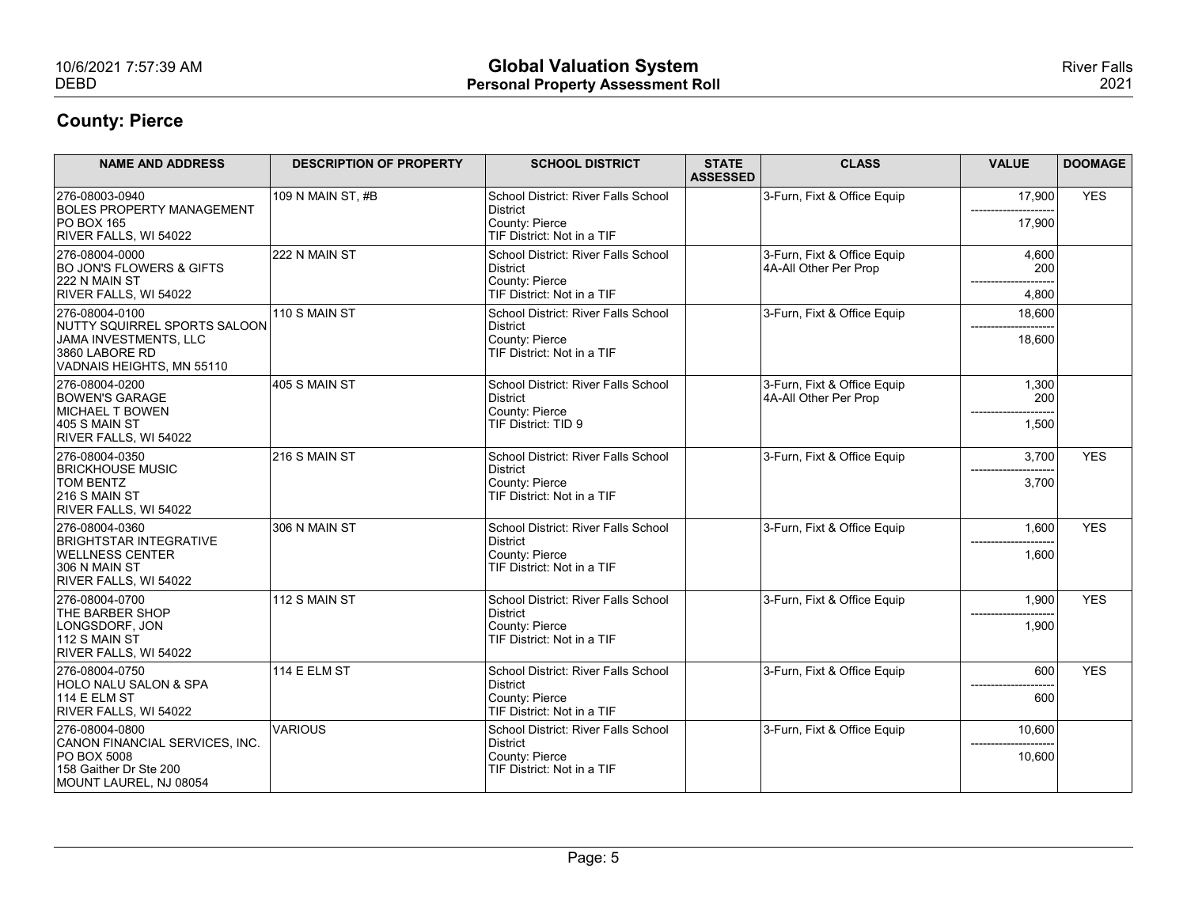| 10/6/2021 7:57:39 AM                                    |                                | <b>Global Valuation System</b>                                    |                                 |                                                      |                 | <b>River Falls</b> |
|---------------------------------------------------------|--------------------------------|-------------------------------------------------------------------|---------------------------------|------------------------------------------------------|-----------------|--------------------|
| <b>DEBD</b>                                             |                                | <b>Personal Property Assessment Roll</b>                          |                                 |                                                      |                 | 2021               |
| <b>County: Pierce</b>                                   |                                |                                                                   |                                 |                                                      |                 |                    |
|                                                         |                                |                                                                   |                                 |                                                      |                 |                    |
| <b>NAME AND ADDRESS</b>                                 | <b>DESCRIPTION OF PROPERTY</b> | <b>SCHOOL DISTRICT</b>                                            | <b>STATE</b><br><b>ASSESSED</b> | <b>CLASS</b>                                         | <b>VALUE</b>    | <b>DOOMAGE</b>     |
| 276-08003-0940<br><b>BOLES PROPERTY MANAGEMENT</b>      | 109 N MAIN ST, #B              | School District: River Falls School<br>District                   |                                 | 3-Furn, Fixt & Office Equip                          | 17,900          | <b>YES</b>         |
| $PO$ BOX 165<br>RIVER FALLS, WI 54022                   |                                | County: Pierce<br>TIF District: Not in a TIF                      |                                 |                                                      | 17,900          |                    |
| 276-08004-0000                                          | 222 N MAIN ST                  | School District: River Falls School                               |                                 | 3-Furn, Fixt & Office Equip                          | 4,600           |                    |
| <b>BO JON'S FLOWERS &amp; GIFTS</b><br>222 N MAIN ST    |                                | District<br>County: Pierce                                        |                                 | 4A-All Other Per Prop                                | 200             |                    |
| RIVER FALLS, WI 54022<br>276-08004-0100                 | $110$ S MAIN ST                | TIF District: Not in a TIF<br>School District: River Falls School |                                 | 3-Furn, Fixt & Office Equip                          | 4,800<br>18,600 |                    |
| NUTTY SQUIRREL SPORTS SALOON<br>JAMA INVESTMENTS, LLC   |                                | District<br>County: Pierce                                        |                                 |                                                      | 18,600          |                    |
| 3860 LABORE RD<br>VADNAIS HEIGHTS, MN 55110             |                                | TIF District: Not in a TIF                                        |                                 |                                                      |                 |                    |
| 276-08004-0200<br><b>BOWEN'S GARAGE</b>                 | $405$ S MAIN ST                | School District: River Falls School<br>District                   |                                 | 3-Furn, Fixt & Office Equip<br>4A-All Other Per Prop | 1,300<br>200    |                    |
| MICHAEL T BOWEN<br>405 S MAIN ST                        |                                | County: Pierce<br>TIF District: TID 9                             |                                 |                                                      | 1,500           |                    |
| RIVER FALLS, WI 54022                                   |                                |                                                                   |                                 |                                                      |                 |                    |
| 276-08004-0350<br><b>BRICKHOUSE MUSIC</b>               | $216$ S MAIN ST                | School District: River Falls School<br>District                   |                                 | 3-Furn, Fixt & Office Equip                          | 3,700<br>------ | <b>YES</b>         |
| <b>TOM BENTZ</b><br>216 S MAIN ST                       |                                | County: Pierce<br>TIF District: Not in a TIF                      |                                 |                                                      | 3,700           |                    |
| RIVER FALLS, WI 54022<br>276-08004-0360                 | 306 N MAIN ST                  | School District: River Falls School                               |                                 | 3-Furn, Fixt & Office Equip                          | 1,600           | <b>YES</b>         |
| <b>BRIGHTSTAR INTEGRATIVE</b><br><b>WELLNESS CENTER</b> |                                | District<br>County: Pierce                                        |                                 |                                                      | ------<br>1,600 |                    |
| 306 N MAIN ST<br>RIVER FALLS, WI 54022                  |                                | TIF District: Not in a TIF                                        |                                 |                                                      |                 |                    |
| 276-08004-0700                                          | $112S$ MAIN ST                 | School District: River Falls School                               |                                 | 3-Furn, Fixt & Office Equip                          | 1,900           | <b>YES</b>         |
| THE BARBER SHOP<br>LONGSDORF, JON                       |                                | District<br>County: Pierce                                        |                                 |                                                      | 1,900           |                    |
| $112$ S MAIN ST<br>RIVER FALLS, WI 54022                |                                | TIF District: Not in a TIF                                        |                                 |                                                      |                 |                    |
| 276-08004-0750<br>HOLO NALU SALON & SPA                 | 114 E ELM ST                   | School District: River Falls School<br>District                   |                                 | 3-Furn, Fixt & Office Equip                          | 600             | <b>YES</b>         |
| 114 E ELM ST<br>RIVER FALLS, WI 54022                   |                                | County: Pierce<br>TIF District: Not in a TIF                      |                                 |                                                      | 600             |                    |
| 276-08004-0800<br>CANON FINANCIAL SERVICES, INC.        | VARIOUS                        | School District: River Falls School<br>District                   |                                 | 3-Furn, Fixt & Office Equip                          | 10,600          |                    |
| <b>PO BOX 5008</b>                                      |                                | County: Pierce<br>TIF District: Not in a TIF                      |                                 |                                                      | 10,600          |                    |
| 158 Gaither Dr Ste 200                                  |                                |                                                                   |                                 |                                                      |                 |                    |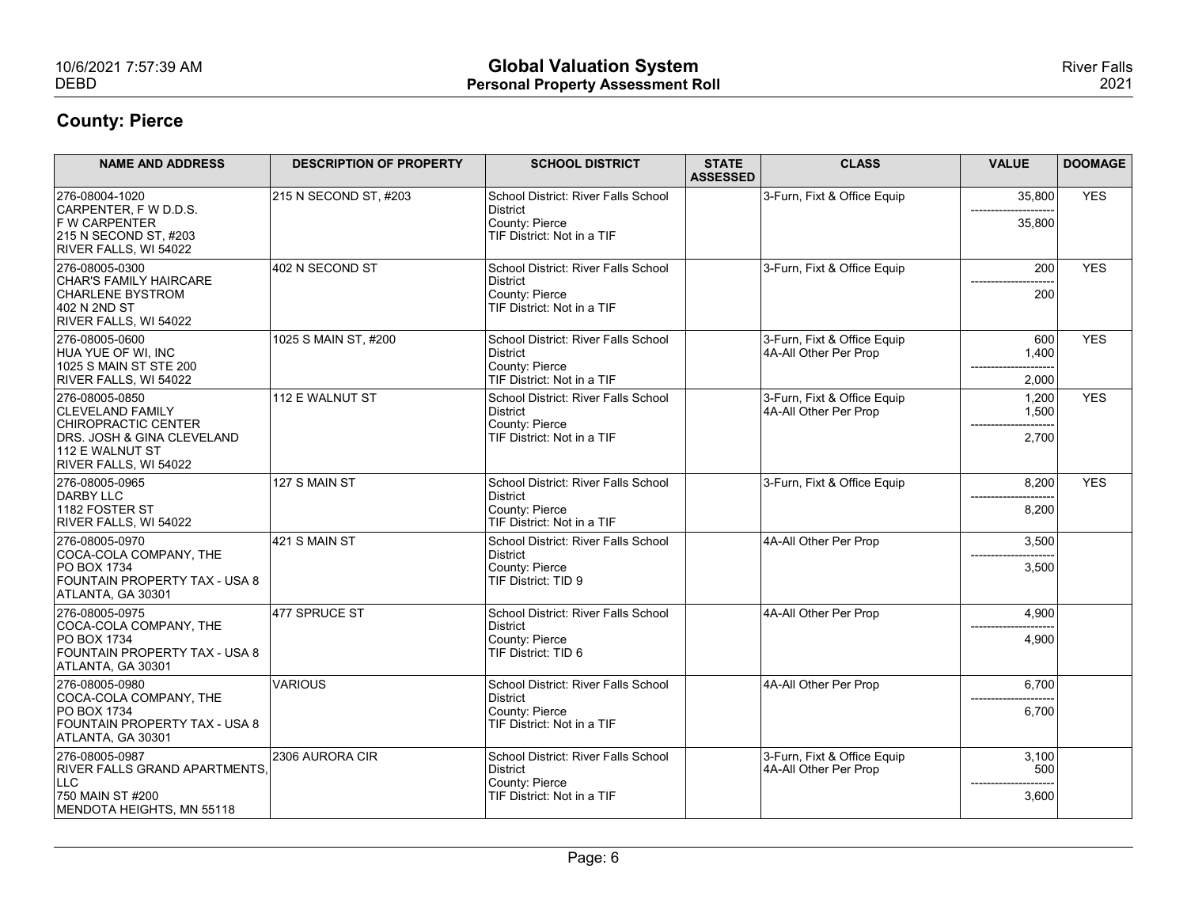| 10/6/2021 7:57:39 AM<br><b>DEBD</b>                                                                                                        |                                | <b>Global Valuation System</b><br><b>Personal Property Assessment Roll</b>                      |                                 |                                                      |                         | <b>River Falls</b><br>2021 |
|--------------------------------------------------------------------------------------------------------------------------------------------|--------------------------------|-------------------------------------------------------------------------------------------------|---------------------------------|------------------------------------------------------|-------------------------|----------------------------|
| <b>County: Pierce</b>                                                                                                                      |                                |                                                                                                 |                                 |                                                      |                         |                            |
| <b>NAME AND ADDRESS</b>                                                                                                                    | <b>DESCRIPTION OF PROPERTY</b> | <b>SCHOOL DISTRICT</b>                                                                          | <b>STATE</b><br><b>ASSESSED</b> | <b>CLASS</b>                                         | <b>VALUE</b>            | <b>DOOMAGE</b>             |
| 276-08004-1020<br>CARPENTER, F W D.D.S.<br><b>F W CARPENTER</b><br>215 N SECOND ST, #203<br>RIVER FALLS, WI 54022                          | 215 N SECOND ST, #203          | School District: River Falls School<br>District<br>County: Pierce<br>TIF District: Not in a TIF |                                 | 3-Furn, Fixt & Office Equip                          | 35,800<br>35,800        | <b>YES</b>                 |
| 276-08005-0300<br>CHAR'S FAMILY HAIRCARE<br><b>CHARLENE BYSTROM</b><br>402 N 2ND ST<br>RIVER FALLS, WI 54022                               | 402 N SECOND ST                | School District: River Falls School<br>District<br>County: Pierce<br>TIF District: Not in a TIF |                                 | 3-Furn, Fixt & Office Equip                          | 200<br>200              | <b>YES</b>                 |
| 276-08005-0600<br>HUA YUE OF WI, INC<br>1025 S MAIN ST STE 200<br>RIVER FALLS, WI 54022                                                    | 1025 S MAIN ST, #200           | School District: River Falls School<br>District<br>County: Pierce<br>TIF District: Not in a TIF |                                 | 3-Furn, Fixt & Office Equip<br>4A-All Other Per Prop | 600<br>1,400<br>2,000   | <b>YES</b>                 |
| 276-08005-0850<br><b>CLEVELAND FAMILY</b><br>CHIROPRACTIC CENTER<br>DRS. JOSH & GINA CLEVELAND<br>112 E WALNUT ST<br>RIVER FALLS, WI 54022 | 112 E WALNUT ST                | School District: River Falls School<br>District<br>County: Pierce<br>TIF District: Not in a TIF |                                 | 3-Furn, Fixt & Office Equip<br>4A-All Other Per Prop | 1,200<br>1,500<br>2,700 | <b>YES</b>                 |
| 276-08005-0965<br>DARBY LLC                                                                                                                | 127 S MAIN ST                  | School District: River Falls School<br>District                                                 |                                 | 3-Furn, Fixt & Office Equip                          | 8,200                   | <b>YES</b>                 |
| 1182 FOSTER ST<br>RIVER FALLS, WI 54022                                                                                                    |                                | County: Pierce<br>TIF District: Not in a TIF                                                    |                                 |                                                      | 8,200                   |                            |
| 276-08005-0970<br>COCA-COLA COMPANY, THE<br><b>PO BOX 1734</b><br>FOUNTAIN PROPERTY TAX - USA 8<br>ATLANTA, GA 30301                       | 421 S MAIN ST                  | School District: River Falls School<br>District<br>County: Pierce<br>TIF District: TID 9        |                                 | 4A-All Other Per Prop                                | 3,500<br>3,500          |                            |
| 276-08005-0975<br>COCA-COLA COMPANY, THE                                                                                                   | 477 SPRUCE ST                  | School District: River Falls School<br>District                                                 |                                 | 4A-All Other Per Prop                                | 4,900                   |                            |
| <b>PO BOX 1734</b><br>FOUNTAIN PROPERTY TAX - USA 8<br>ATLANTA, GA 30301                                                                   |                                | County: Pierce<br>TIF District: TID 6                                                           |                                 |                                                      | 4,900                   |                            |
| 276-08005-0980<br>COCA-COLA COMPANY, THE                                                                                                   | VARIOUS                        | School District: River Falls School<br>District                                                 |                                 | 4A-All Other Per Prop                                | 6,700                   |                            |
| <b>PO BOX 1734</b><br>FOUNTAIN PROPERTY TAX - USA 8<br>ATLANTA, GA 30301                                                                   |                                | County: Pierce<br>TIF District: Not in a TIF                                                    |                                 |                                                      | 6,700                   |                            |
| 276-08005-0987<br>RIVER FALLS GRAND APARTMENTS,                                                                                            | 2306 AURORA CIR                | School District: River Falls School<br>District                                                 |                                 | 3-Furn, Fixt & Office Equip<br>4A-All Other Per Prop | 3,100<br>500            |                            |
| LLC<br>750 MAIN ST #200                                                                                                                    |                                | County: Pierce<br>TIF District: Not in a TIF                                                    |                                 |                                                      | 3,600                   |                            |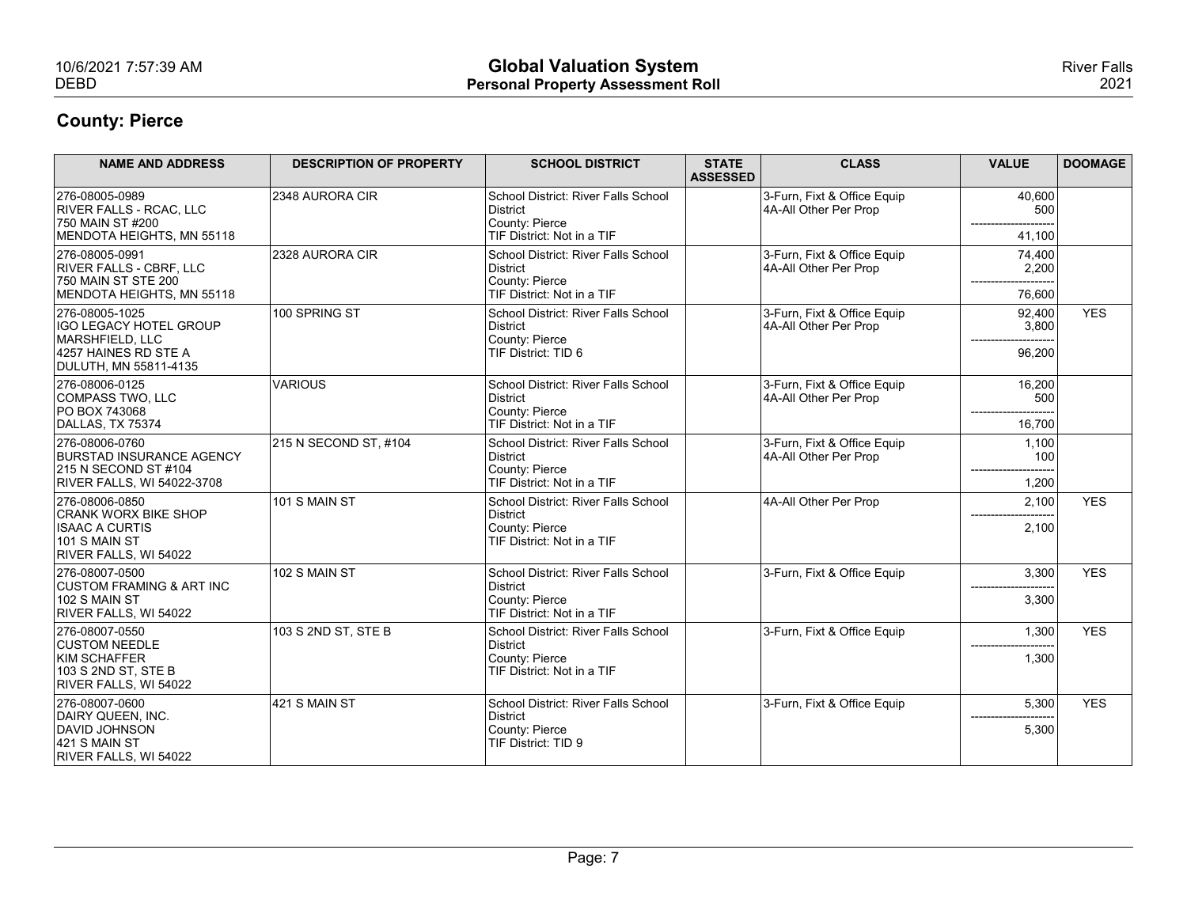| 10/6/2021 7:57:39 AM                                                                             |                                |                                                                            |                                 |                                                      |                          |                            |
|--------------------------------------------------------------------------------------------------|--------------------------------|----------------------------------------------------------------------------|---------------------------------|------------------------------------------------------|--------------------------|----------------------------|
|                                                                                                  |                                |                                                                            |                                 |                                                      |                          |                            |
|                                                                                                  |                                |                                                                            |                                 |                                                      |                          |                            |
|                                                                                                  |                                |                                                                            |                                 |                                                      |                          |                            |
|                                                                                                  |                                |                                                                            |                                 |                                                      |                          |                            |
| <b>DEBD</b>                                                                                      |                                | <b>Global Valuation System</b><br><b>Personal Property Assessment Roll</b> |                                 |                                                      |                          | <b>River Falls</b><br>2021 |
| <b>County: Pierce</b>                                                                            |                                |                                                                            |                                 |                                                      |                          |                            |
|                                                                                                  |                                |                                                                            |                                 |                                                      |                          |                            |
| <b>NAME AND ADDRESS</b>                                                                          | <b>DESCRIPTION OF PROPERTY</b> | <b>SCHOOL DISTRICT</b>                                                     | <b>STATE</b><br><b>ASSESSED</b> | <b>CLASS</b>                                         | <b>VALUE</b>             | <b>DOOMAGE</b>             |
| 276-08005-0989<br><b>RIVER FALLS - RCAC, LLC</b><br>750 MAIN ST #200                             | 2348 AURORA CIR                | School District: River Falls School<br>District<br>County: Pierce          |                                 | 3-Furn, Fixt & Office Equip<br>4A-All Other Per Prop | 40,600<br>500            |                            |
| MENDOTA HEIGHTS, MN 55118                                                                        |                                | TIF District: Not in a TIF                                                 |                                 |                                                      | 41,100                   |                            |
| 276-08005-0991<br><b>RIVER FALLS - CBRF, LLC</b><br>750 MAIN ST STE 200                          | 2328 AURORA CIR                | School District: River Falls School<br>District<br>County: Pierce          |                                 | 3-Furn, Fixt & Office Equip<br>4A-All Other Per Prop | 74,400<br>2,200          |                            |
| MENDOTA HEIGHTS, MN 55118<br>276-08005-1025                                                      | 100 SPRING ST                  | TIF District: Not in a TIF<br>School District: River Falls School          |                                 | 3-Furn, Fixt & Office Equip                          | 76,600<br>92,400         | <b>YES</b>                 |
| <b>IGO LEGACY HOTEL GROUP</b><br>MARSHFIELD, LLC<br>4257 HAINES RD STE A                         |                                | District<br>County: Pierce<br>TIF District: TID 6                          |                                 | 4A-All Other Per Prop                                | 3,800<br>$---$<br>96,200 |                            |
| DULUTH, MN 55811-4135<br>276-08006-0125                                                          | VARIOUS                        | School District: River Falls School                                        |                                 | 3-Furn, Fixt & Office Equip                          | 16,200                   |                            |
| COMPASS TWO, LLC<br><b>PO BOX 743068</b><br>DALLAS, TX 75374                                     |                                | District<br>County: Pierce<br>TIF District: Not in a TIF                   |                                 | 4A-All Other Per Prop                                | 500<br>16,700            |                            |
| 276-08006-0760                                                                                   | 215 N SECOND ST, #104          | School District: River Falls School                                        |                                 | 3-Furn, Fixt & Office Equip                          | 1,100                    |                            |
| <b>BURSTAD INSURANCE AGENCY</b><br>215 N SECOND ST #104                                          |                                | District<br>County: Pierce                                                 |                                 | 4A-All Other Per Prop                                | 100                      |                            |
| RIVER FALLS, WI 54022-3708<br>276-08006-0850                                                     | 101 S MAIN ST                  | TIF District: Not in a TIF<br>School District: River Falls School          |                                 | 4A-All Other Per Prop                                | 1,200<br>2,100           | <b>YES</b>                 |
| <b>CRANK WORX BIKE SHOP</b><br><b>ISAAC A CURTIS</b><br>$101$ S MAIN ST<br>RIVER FALLS, WI 54022 |                                | District<br>County: Pierce<br>TIF District: Not in a TIF                   |                                 |                                                      | 2,100                    |                            |
| 276-08007-0500                                                                                   | 102 S MAIN ST                  | School District: River Falls School                                        |                                 | 3-Furn, Fixt & Office Equip                          | 3,300                    | <b>YES</b>                 |
| <b>CUSTOM FRAMING &amp; ART INC</b><br>$102$ S MAIN ST                                           |                                | District<br>County: Pierce                                                 |                                 |                                                      | --------<br>3,300        |                            |
| RIVER FALLS, WI 54022<br>276-08007-0550                                                          | 103 S 2ND ST, STE B            | TIF District: Not in a TIF<br>School District: River Falls School          |                                 | 3-Furn, Fixt & Office Equip                          | 1,300                    | <b>YES</b>                 |
| <b>CUSTOM NEEDLE</b>                                                                             |                                | District                                                                   |                                 |                                                      |                          |                            |
| KIM SCHAFFER<br>103 S 2ND ST, STE B<br>RIVER FALLS, WI 54022                                     |                                | County: Pierce<br>TIF District: Not in a TIF                               |                                 |                                                      | 1,300                    |                            |
|                                                                                                  | $421$ S MAIN ST                | School District: River Falls School                                        |                                 | 3-Furn, Fixt & Office Equip                          | 5,300                    | <b>YES</b>                 |
| 276-08007-0600<br>DAIRY QUEEN, INC.                                                              |                                | District<br>County: Pierce<br>TIF District: TID 9                          |                                 |                                                      | 5,300                    |                            |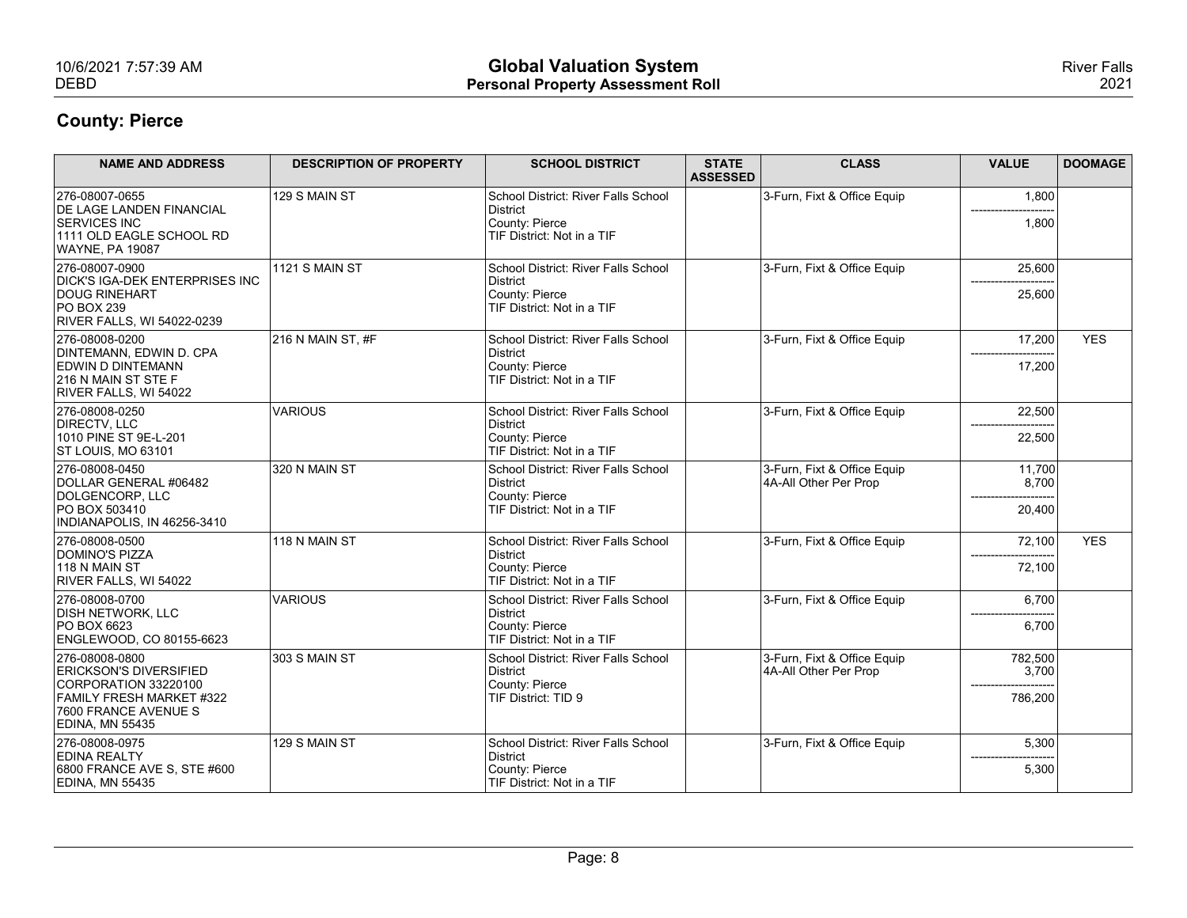| 10/6/2021 7:57:39 AM                                                                                      |                                | <b>Global Valuation System</b>                           |                                 |                                                      |                                | <b>River Falls</b> |
|-----------------------------------------------------------------------------------------------------------|--------------------------------|----------------------------------------------------------|---------------------------------|------------------------------------------------------|--------------------------------|--------------------|
| <b>DEBD</b>                                                                                               |                                | <b>Personal Property Assessment Roll</b>                 |                                 |                                                      |                                | 2021               |
| <b>County: Pierce</b>                                                                                     |                                |                                                          |                                 |                                                      |                                |                    |
| <b>NAME AND ADDRESS</b>                                                                                   | <b>DESCRIPTION OF PROPERTY</b> | <b>SCHOOL DISTRICT</b>                                   | <b>STATE</b><br><b>ASSESSED</b> | <b>CLASS</b>                                         | <b>VALUE</b>                   | <b>DOOMAGE</b>     |
| 276-08007-0655<br><b>DE LAGE LANDEN FINANCIAL</b>                                                         | 129 S MAIN ST                  | School District: River Falls School<br>District          |                                 | 3-Furn, Fixt & Office Equip                          | 1,800                          |                    |
| <b>SERVICES INC</b><br>1111 OLD EAGLE SCHOOL RD<br><b>WAYNE, PA 19087</b>                                 |                                | County: Pierce<br>TIF District: Not in a TIF             |                                 |                                                      | 1,800                          |                    |
| 276-08007-0900<br><b>DICK'S IGA-DEK ENTERPRISES INC</b>                                                   | 1121 S MAIN ST                 | School District: River Falls School<br>District          |                                 | 3-Furn, Fixt & Office Equip                          | 25,600                         |                    |
| <b>DOUG RINEHART</b><br>$ PO$ BOX 239<br><b>RIVER FALLS, WI 54022-0239</b>                                |                                | County: Pierce<br>TIF District: Not in a TIF             |                                 |                                                      | 25,600                         |                    |
| 276-08008-0200<br>DINTEMANN, EDWIN D. CPA                                                                 | $216$ N MAIN ST. #F            | School District: River Falls School<br>District          |                                 | 3-Furn, Fixt & Office Equip                          | 17,200<br>-------------------- | <b>YES</b>         |
| EDWIN D DINTEMANN<br>216 N MAIN ST STE F<br>RIVER FALLS, WI 54022                                         |                                | County: Pierce<br>TIF District: Not in a TIF             |                                 |                                                      | 17,200                         |                    |
| 276-08008-0250<br>DIRECTV, LLC                                                                            | VARIOUS                        | School District: River Falls School<br>District          |                                 | 3-Furn, Fixt & Office Equip                          | 22,500                         |                    |
| 1010 PINE ST 9E-L-201<br>ST LOUIS, MO 63101                                                               |                                | County: Pierce<br>TIF District: Not in a TIF             |                                 |                                                      | 22,500                         |                    |
| 276-08008-0450<br>DOLLAR GENERAL #06482                                                                   | 320 N MAIN ST                  | School District: River Falls School<br>District          |                                 | 3-Furn, Fixt & Office Equip<br>4A-All Other Per Prop | 11,700<br>8,700                |                    |
| DOLGENCORP, LLC<br>PO BOX 503410                                                                          |                                | County: Pierce<br>TIF District: Not in a TIF             |                                 |                                                      | -----<br>20,400                |                    |
| INDIANAPOLIS, IN 46256-3410<br>276-08008-0500                                                             | 118 N MAIN ST                  | School District: River Falls School                      |                                 | 3-Furn, Fixt & Office Equip                          | 72,100                         | <b>YES</b>         |
| <b>DOMINO'S PIZZA</b><br>118 N MAIN ST                                                                    |                                | District<br>County: Pierce                               |                                 |                                                      | 72,100                         |                    |
| RIVER FALLS, WI 54022                                                                                     |                                | TIF District: Not in a TIF                               |                                 |                                                      |                                |                    |
| 276-08008-0700<br><b>DISH NETWORK, LLC</b>                                                                | VARIOUS                        | School District: River Falls School<br>District          |                                 | 3-Furn, Fixt & Office Equip                          | 6,700                          |                    |
| PO BOX 6623<br>ENGLEWOOD, CO 80155-6623                                                                   |                                | County: Pierce<br>TIF District: Not in a TIF             |                                 |                                                      | 6,700                          |                    |
| 276-08008-0800<br><b>ERICKSON'S DIVERSIFIED</b>                                                           | 303 S MAIN ST                  | School District: River Falls School<br>District          |                                 | 3-Furn, Fixt & Office Equip<br>4A-All Other Per Prop | 782,500<br>3,700               |                    |
| CORPORATION 33220100<br><b>FAMILY FRESH MARKET #322</b><br>7600 FRANCE AVENUE S<br><b>EDINA, MN 55435</b> |                                | County: Pierce<br>TIF District: TID 9                    |                                 |                                                      | 786,200                        |                    |
| 276-08008-0975                                                                                            | 129 S MAIN ST                  | School District: River Falls School                      |                                 | 3-Furn, Fixt & Office Equip                          | 5,300                          |                    |
| <b>EDINA REALTY</b><br>6800 FRANCE AVE S, STE #600<br><b>EDINA, MN 55435</b>                              |                                | District<br>County: Pierce<br>TIF District: Not in a TIF |                                 |                                                      | ------------<br>5,300          |                    |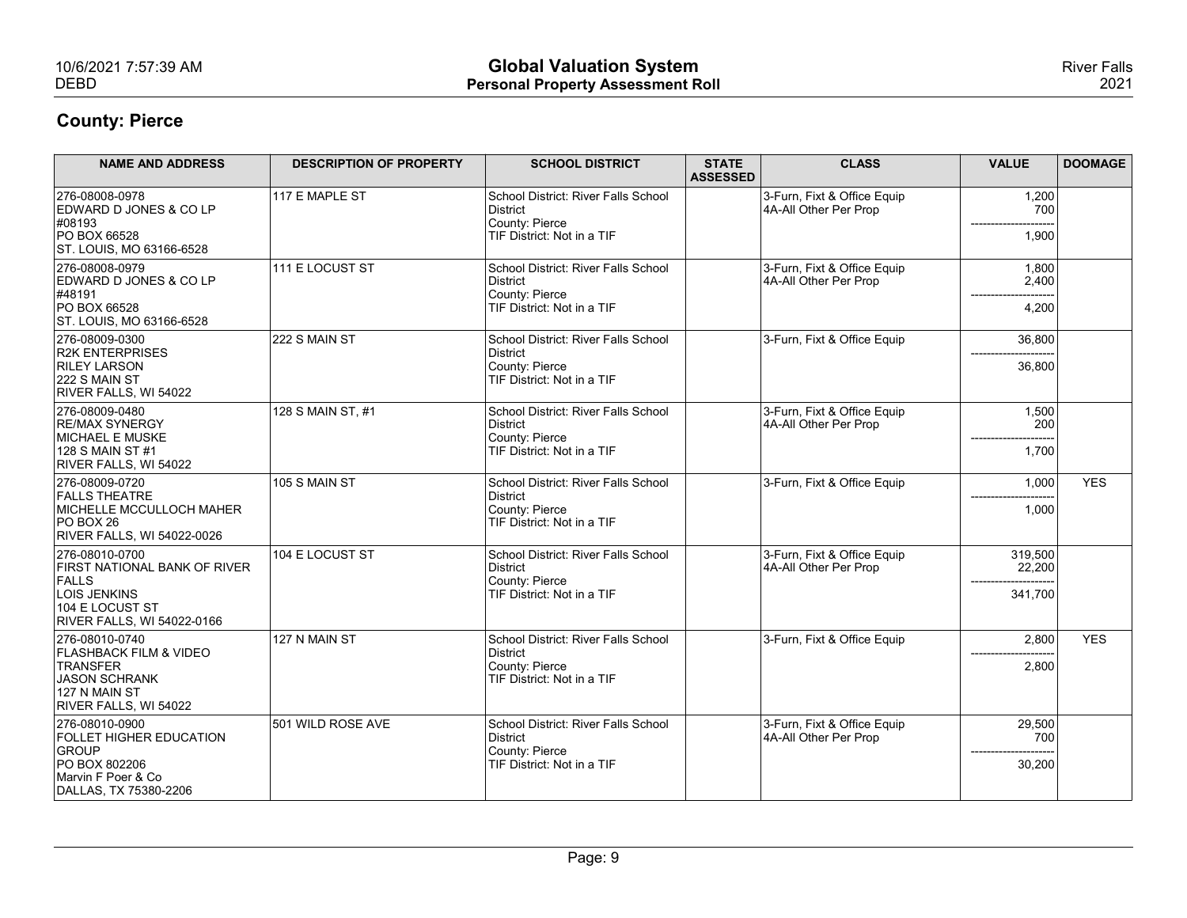| 10/6/2021 7:57:39 AM<br><b>DEBD</b>                                                                                                    |                                | <b>Global Valuation System</b><br><b>Personal Property Assessment Roll</b>                      |                                 |                                                      |                                          | <b>River Falls</b><br>2021 |
|----------------------------------------------------------------------------------------------------------------------------------------|--------------------------------|-------------------------------------------------------------------------------------------------|---------------------------------|------------------------------------------------------|------------------------------------------|----------------------------|
| <b>County: Pierce</b>                                                                                                                  |                                |                                                                                                 |                                 |                                                      |                                          |                            |
| <b>NAME AND ADDRESS</b>                                                                                                                | <b>DESCRIPTION OF PROPERTY</b> | <b>SCHOOL DISTRICT</b>                                                                          | <b>STATE</b><br><b>ASSESSED</b> | <b>CLASS</b>                                         | <b>VALUE</b>                             | <b>DOOMAGE</b>             |
| 276-08008-0978<br>EDWARD D JONES & CO LP<br>#08193<br>PO BOX 66528<br>ST. LOUIS, MO 63166-6528                                         | 117 E MAPLE ST                 | School District: River Falls School<br>District<br>County: Pierce<br>TIF District: Not in a TIF |                                 | 3-Furn, Fixt & Office Equip<br>4A-All Other Per Prop | 1,200<br>700<br>1,900                    |                            |
| 276-08008-0979<br>EDWARD D JONES & CO LP<br>#48191<br><b>PO BOX 66528</b><br>ST. LOUIS, MO 63166-6528                                  | 111 E LOCUST ST                | School District: River Falls School<br>District<br>County: Pierce<br>TIF District: Not in a TIF |                                 | 3-Furn, Fixt & Office Equip<br>4A-All Other Per Prop | 1,800<br>2,400<br>4,200                  |                            |
| 276-08009-0300<br><b>R2K ENTERPRISES</b><br><b>RILEY LARSON</b><br>222 S MAIN ST<br>RIVER FALLS, WI 54022                              | 222 S MAIN ST                  | School District: River Falls School<br>District<br>County: Pierce<br>TIF District: Not in a TIF |                                 | 3-Furn, Fixt & Office Equip                          | 36,800<br>--------------------<br>36,800 |                            |
| 276-08009-0480<br>RE/MAX SYNERGY<br><b>MICHAEL E MUSKE</b><br>128 S MAIN ST #1<br>RIVER FALLS, WI 54022                                | 128 S MAIN ST, #1              | School District: River Falls School<br>District<br>County: Pierce<br>TIF District: Not in a TIF |                                 | 3-Furn, Fixt & Office Equip<br>4A-All Other Per Prop | 1,500<br>200<br>1,700                    |                            |
| 276-08009-0720<br><b>FALLS THEATRE</b><br>MICHELLE MCCULLOCH MAHER<br>$PO$ BOX 26<br><b>RIVER FALLS, WI 54022-0026</b>                 | 105 S MAIN ST                  | School District: River Falls School<br>District<br>County: Pierce<br>TIF District: Not in a TIF |                                 | 3-Furn, Fixt & Office Equip                          | 1,000<br>1,000                           | <b>YES</b>                 |
| 276-08010-0700<br><b>FIRST NATIONAL BANK OF RIVER</b><br>FALLS<br>LOIS JENKINS<br>104 E LOCUST ST<br><b>RIVER FALLS, WI 54022-0166</b> | 104 E LOCUST ST                | School District: River Falls School<br>District<br>County: Pierce<br>TIF District: Not in a TIF |                                 | 3-Furn, Fixt & Office Equip<br>4A-All Other Per Prop | 319,500<br>22,200<br>341,700             |                            |
| 276-08010-0740<br><b>FLASHBACK FILM &amp; VIDEO</b><br>TRANSFER<br>JASON SCHRANK<br>127 N MAIN ST<br>RIVER FALLS, WI 54022             | 127 N MAIN ST                  | School District: River Falls School<br>District<br>County: Pierce<br>TIF District: Not in a TIF |                                 | 3-Furn, Fixt & Office Equip                          | 2,800<br>2,800                           | <b>YES</b>                 |
| 276-08010-0900<br><b>FOLLET HIGHER EDUCATION</b><br>GROUP<br>PO BOX 802206<br>Marvin F Poer & Co<br>DALLAS, TX 75380-2206              | 501 WILD ROSE AVE              | School District: River Falls School<br>District<br>County: Pierce<br>TIF District: Not in a TIF |                                 | 3-Furn, Fixt & Office Equip<br>4A-All Other Per Prop | 29,500<br>700<br>30,200                  |                            |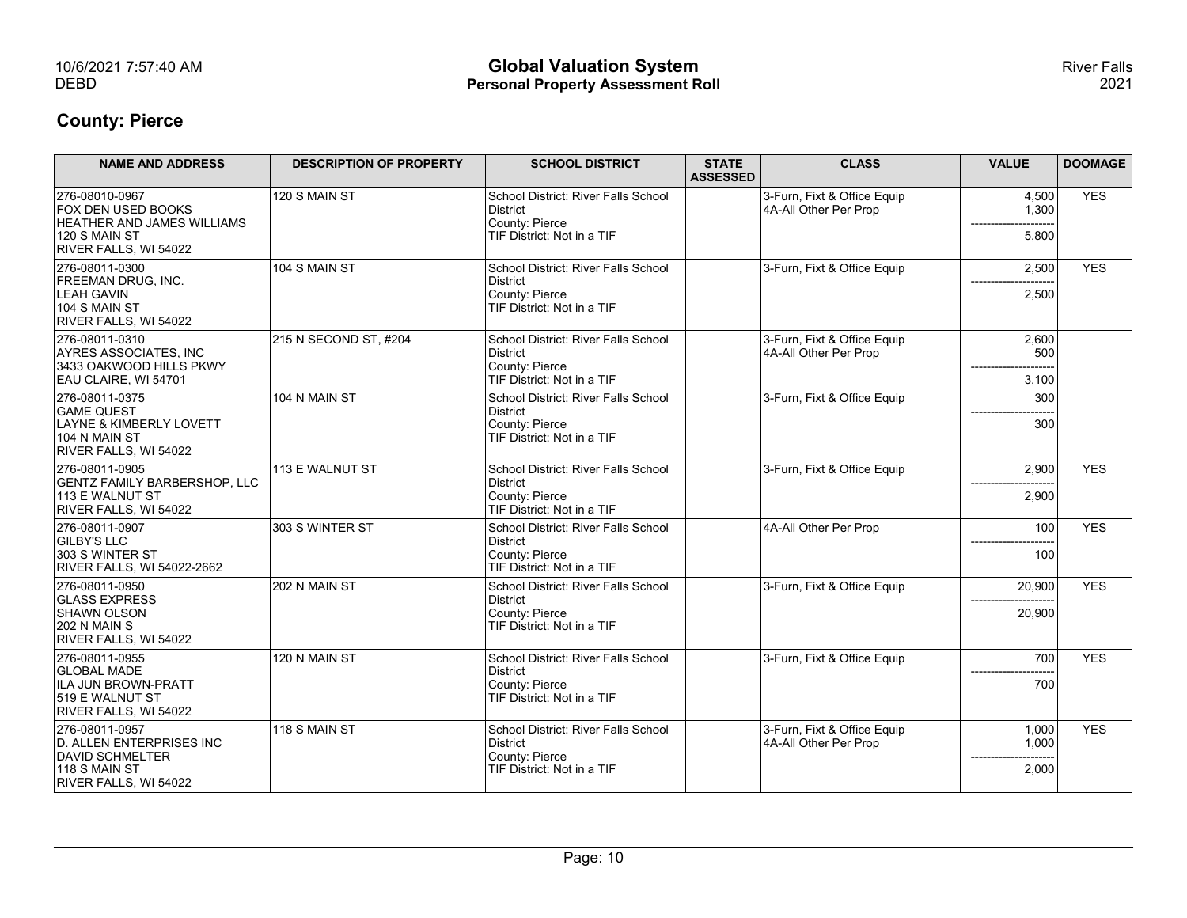| 10/6/2021 7:57:40 AM<br><b>DEBD</b>                    |                                | <b>Global Valuation System</b><br><b>Personal Property Assessment Roll</b> |                                 |                                                      |                     | <b>River Falls</b><br>2021 |
|--------------------------------------------------------|--------------------------------|----------------------------------------------------------------------------|---------------------------------|------------------------------------------------------|---------------------|----------------------------|
| <b>County: Pierce</b>                                  |                                |                                                                            |                                 |                                                      |                     |                            |
| <b>NAME AND ADDRESS</b>                                | <b>DESCRIPTION OF PROPERTY</b> | <b>SCHOOL DISTRICT</b>                                                     | <b>STATE</b><br><b>ASSESSED</b> | <b>CLASS</b>                                         | <b>VALUE</b>        | <b>DOOMAGE</b>             |
| 276-08010-0967<br><b>FOX DEN USED BOOKS</b>            | 120 S MAIN ST                  | School District: River Falls School<br>District                            |                                 | 3-Furn, Fixt & Office Equip<br>4A-All Other Per Prop | 4,500<br>1,300      | <b>YES</b>                 |
| <b>HEATHER AND JAMES WILLIAMS</b><br>$120$ S MAIN ST   |                                | County: Pierce<br>TIF District: Not in a TIF                               |                                 |                                                      | 5,800               |                            |
| RIVER FALLS, WI 54022<br>276-08011-0300                |                                |                                                                            |                                 |                                                      |                     | <b>YES</b>                 |
| <b>FREEMAN DRUG, INC.</b><br><b>LEAH GAVIN</b>         | 104 S MAIN ST                  | School District: River Falls School<br>District<br>County: Pierce          |                                 | 3-Furn, Fixt & Office Equip                          | 2,500               |                            |
| $104$ S MAIN ST<br>RIVER FALLS, WI 54022               |                                | TIF District: Not in a TIF                                                 |                                 |                                                      | 2,500               |                            |
| 276-08011-0310                                         | 215 N SECOND ST, #204          | School District: River Falls School                                        |                                 | 3-Furn, Fixt & Office Equip                          | 2,600               |                            |
| AYRES ASSOCIATES, INC<br>3433 OAKWOOD HILLS PKWY       |                                | District<br>County: Pierce                                                 |                                 | 4A-All Other Per Prop                                | 500                 |                            |
| EAU CLAIRE, WI 54701<br>276-08011-0375                 | 104 N MAIN ST                  | TIF District: Not in a TIF<br>School District: River Falls School          |                                 | 3-Furn, Fixt & Office Equip                          | 3,100<br>300        |                            |
| <b>GAME QUEST</b><br>LAYNE & KIMBERLY LOVETT           |                                | District<br>County: Pierce                                                 |                                 |                                                      | 300                 |                            |
| 104 N MAIN ST<br>RIVER FALLS, WI 54022                 |                                | TIF District: Not in a TIF                                                 |                                 |                                                      |                     |                            |
| 276-08011-0905                                         | 113 E WALNUT ST                | School District: River Falls School                                        |                                 | 3-Furn, Fixt & Office Equip                          | 2,900               | <b>YES</b>                 |
| <b>GENTZ FAMILY BARBERSHOP, LLC</b><br>113 E WALNUT ST |                                | District<br>County: Pierce                                                 |                                 |                                                      | 2,900               |                            |
| RIVER FALLS, WI 54022<br>276-08011-0907                | 303 S WINTER ST                | TIF District: Not in a TIF<br>School District: River Falls School          |                                 | 4A-All Other Per Prop                                | 100                 | <b>YES</b>                 |
| <b>GILBY'S LLC</b><br>303 S WINTER ST                  |                                | District<br>County: Pierce                                                 |                                 |                                                      | --------<br>100     |                            |
| RIVER FALLS, WI 54022-2662                             |                                | TIF District: Not in a TIF                                                 |                                 |                                                      |                     |                            |
| 276-08011-0950<br><b>GLASS EXPRESS</b>                 | 202 N MAIN ST                  | School District: River Falls School<br>District                            |                                 | 3-Furn, Fixt & Office Equip                          | 20,900              | <b>YES</b>                 |
| SHAWN OLSON<br>202 N MAIN S                            |                                | County: Pierce<br>TIF District: Not in a TIF                               |                                 |                                                      | 20,900              |                            |
| RIVER FALLS, WI 54022<br>276-08011-0955                | 120 N MAIN ST                  | School District: River Falls School                                        |                                 | 3-Furn, Fixt & Office Equip                          | 700                 | <b>YES</b>                 |
| <b>GLOBAL MADE</b><br>ILA JUN BROWN-PRATT              |                                | District<br>County: Pierce                                                 |                                 |                                                      | 700                 |                            |
| 519 E WALNUT ST<br>RIVER FALLS, WI 54022               |                                | TIF District: Not in a TIF                                                 |                                 |                                                      |                     |                            |
| 276-08011-0957                                         | $118$ S MAIN ST                | School District: River Falls School                                        |                                 | 3-Furn, Fixt & Office Equip                          | 1,000               | <b>YES</b>                 |
| D. ALLEN ENTERPRISES INC                               |                                | District<br>County: Pierce                                                 |                                 | 4A-All Other Per Prop                                | 1,000<br>---------- |                            |
| DAVID SCHMELTER<br>$118$ S MAIN ST                     |                                | TIF District: Not in a TIF                                                 |                                 |                                                      | 2,000               |                            |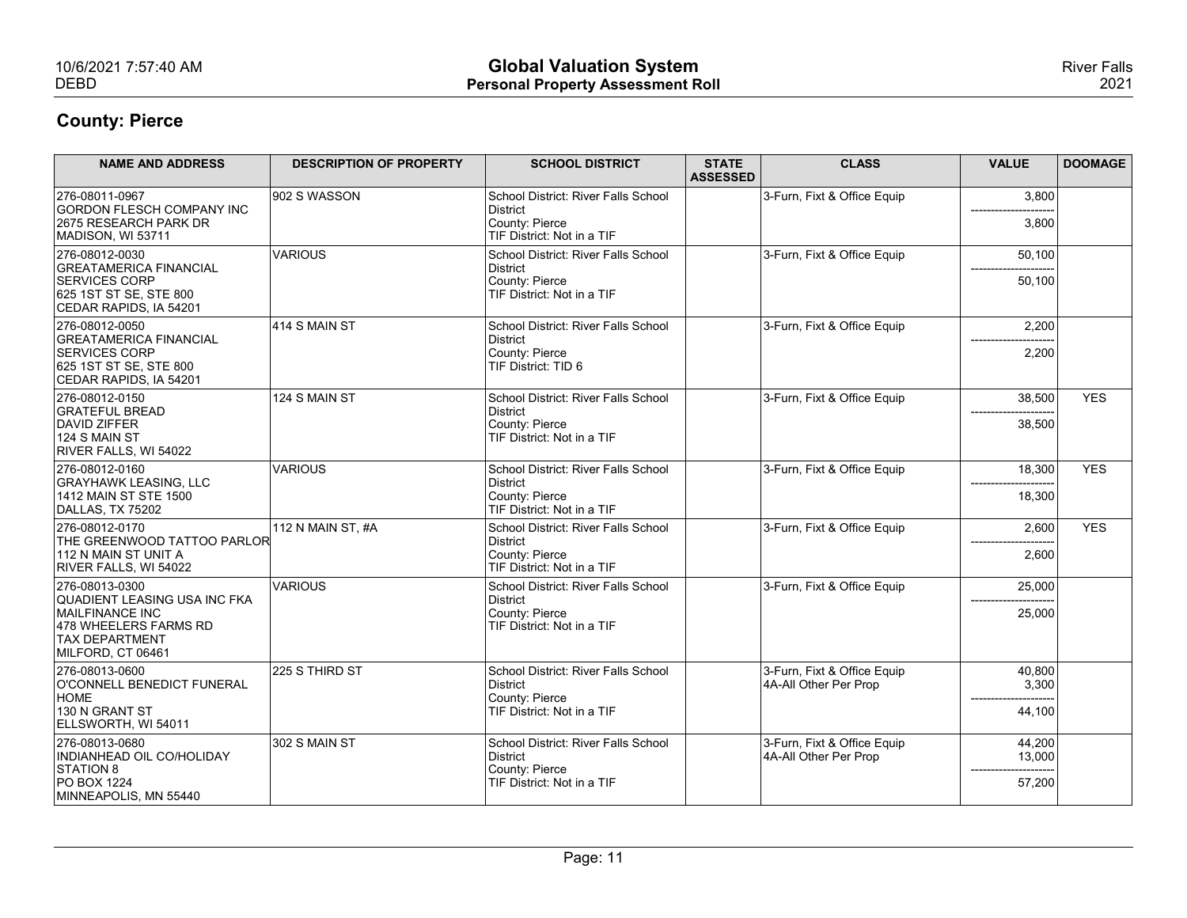| 10/6/2021 7:57:40 AM<br><b>DEBD</b>                                                                                                      |                                | <b>Global Valuation System</b><br><b>Personal Property Assessment Roll</b>                      |                 |                                                      |                            | <b>River Falls</b><br>2021 |
|------------------------------------------------------------------------------------------------------------------------------------------|--------------------------------|-------------------------------------------------------------------------------------------------|-----------------|------------------------------------------------------|----------------------------|----------------------------|
| <b>County: Pierce</b>                                                                                                                    |                                |                                                                                                 |                 |                                                      |                            |                            |
| <b>NAME AND ADDRESS</b>                                                                                                                  | <b>DESCRIPTION OF PROPERTY</b> | <b>SCHOOL DISTRICT</b>                                                                          | <b>STATE</b>    | <b>CLASS</b>                                         | <b>VALUE</b>               | <b>DOOMAGE</b>             |
| 276-08011-0967                                                                                                                           | 902 S WASSON                   | School District: River Falls School                                                             | <b>ASSESSED</b> | 3-Furn, Fixt & Office Equip                          | 3,800                      |                            |
| <b>GORDON FLESCH COMPANY INC</b><br>2675 RESEARCH PARK DR<br>MADISON, WI 53711                                                           |                                | District<br>County: Pierce<br>TIF District: Not in a TIF                                        |                 |                                                      | 3,800                      |                            |
| 276-08012-0030<br><b>GREATAMERICA FINANCIAL</b><br><b>SERVICES CORP</b><br>625 1ST ST SE, STE 800<br>CEDAR RAPIDS, IA 54201              | <b>VARIOUS</b>                 | School District: River Falls School<br>District<br>County: Pierce<br>TIF District: Not in a TIF |                 | 3-Furn, Fixt & Office Equip                          | 50,100<br>50,100           |                            |
| 276-08012-0050<br><b>GREATAMERICA FINANCIAL</b><br><b>SERVICES CORP</b><br>625 1ST ST SE, STE 800<br>CEDAR RAPIDS, IA 54201              | $ 414$ S MAIN ST               | School District: River Falls School<br>District<br>County: Pierce<br>TIF District: TID 6        |                 | 3-Furn, Fixt & Office Equip                          | 2,200<br>2,200             |                            |
| 276-08012-0150<br><b>GRATEFUL BREAD</b><br>DAVID ZIFFER<br>124 S MAIN ST<br>RIVER FALLS, WI 54022                                        | 124 S MAIN ST                  | School District: River Falls School<br>District<br>County: Pierce<br>TIF District: Not in a TIF |                 | 3-Furn, Fixt & Office Equip                          | 38,500<br>38,500           | <b>YES</b>                 |
| 276-08012-0160<br>GRAYHAWK LEASING, LLC<br>1412 MAIN ST STE 1500<br>DALLAS, TX 75202                                                     | VARIOUS                        | School District: River Falls School<br>District<br>County: Pierce<br>TIF District: Not in a TIF |                 | 3-Furn, Fixt & Office Equip                          | 18,300<br>18,300           | <b>YES</b>                 |
| 276-08012-0170<br>THE GREENWOOD TATTOO PARLOR<br>112 N MAIN ST UNIT A<br>RIVER FALLS, WI 54022                                           | 112 N MAIN ST, #A              | School District: River Falls School<br>District<br>County: Pierce<br>TIF District: Not in a TIF |                 | 3-Furn, Fixt & Office Equip                          | 2,600<br>------<br>2,600   | <b>YES</b>                 |
| 276-08013-0300<br>QUADIENT LEASING USA INC FKA<br>MAILFINANCE INC<br>478 WHEELERS FARMS RD<br><b>TAX DEPARTMENT</b><br>MILFORD, CT 06461 | VARIOUS                        | School District: River Falls School<br>District<br>County: Pierce<br>TIF District: Not in a TIF |                 | 3-Furn, Fixt & Office Equip                          | 25,000<br>25,000           |                            |
| 276-08013-0600<br>O'CONNELL BENEDICT FUNERAL<br>HOME<br>130 N GRANT ST<br>ELLSWORTH, WI 54011                                            | 225 S THIRD ST                 | School District: River Falls School<br>District<br>County: Pierce<br>TIF District: Not in a TIF |                 | 3-Furn, Fixt & Office Equip<br>4A-All Other Per Prop | 40,800<br>3,300<br>44,100  |                            |
| 276-08013-0680<br>INDIANHEAD OIL CO/HOLIDAY<br>STATION 8<br><b>PO BOX 1224</b><br>MINNEAPOLIS, MN 55440                                  | 302 S MAIN ST                  | School District: River Falls School<br>District<br>County: Pierce<br>TIF District: Not in a TIF |                 | 3-Furn, Fixt & Office Equip<br>4A-All Other Per Prop | 44,200<br>13,000<br>57,200 |                            |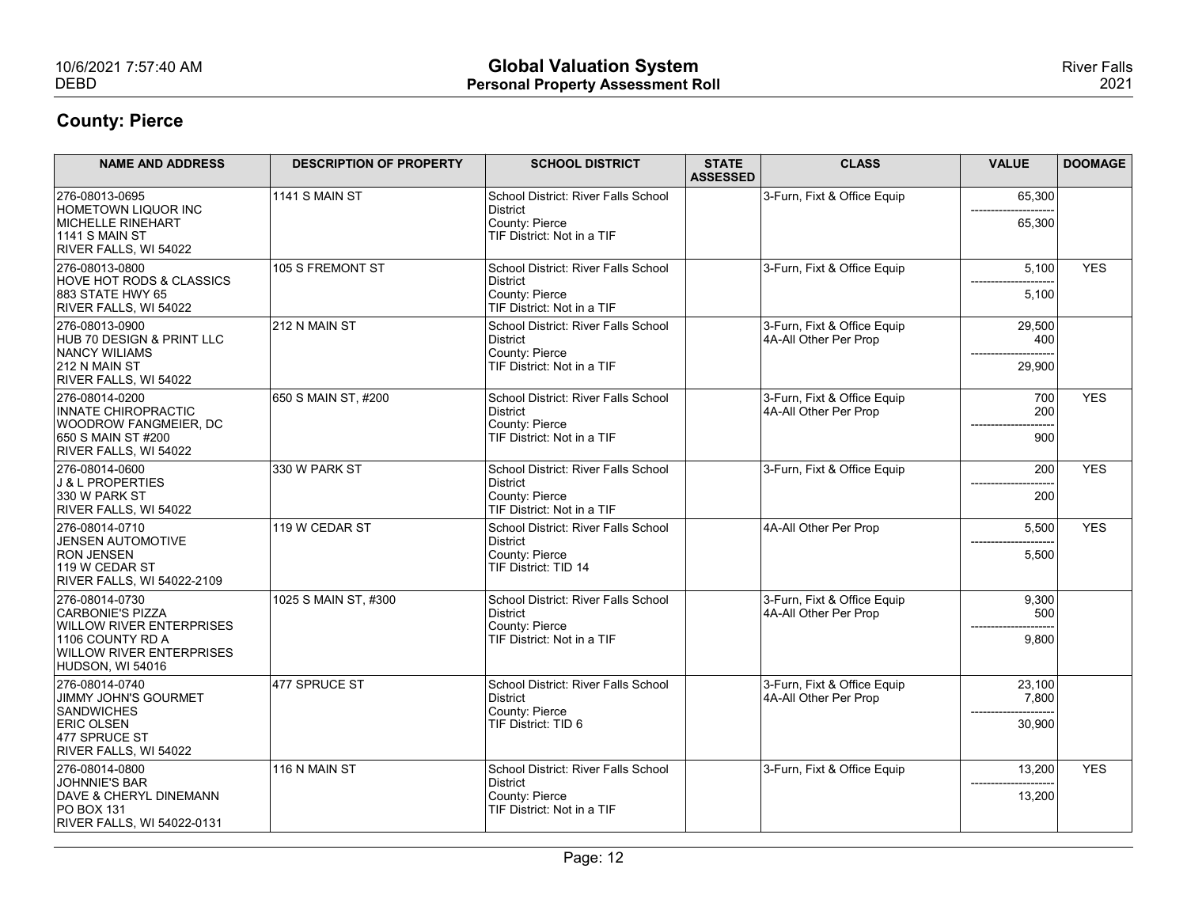| 10/6/2021 7:57:40 AM<br><b>DEBD</b>                                                                                                              |                                | <b>Global Valuation System</b><br><b>Personal Property Assessment Roll</b>                      |                                 |                                                      |                                                 | <b>River Falls</b><br>2021 |
|--------------------------------------------------------------------------------------------------------------------------------------------------|--------------------------------|-------------------------------------------------------------------------------------------------|---------------------------------|------------------------------------------------------|-------------------------------------------------|----------------------------|
| <b>County: Pierce</b>                                                                                                                            |                                |                                                                                                 |                                 |                                                      |                                                 |                            |
| <b>NAME AND ADDRESS</b>                                                                                                                          | <b>DESCRIPTION OF PROPERTY</b> | <b>SCHOOL DISTRICT</b>                                                                          | <b>STATE</b><br><b>ASSESSED</b> | <b>CLASS</b>                                         | <b>VALUE</b>                                    | <b>DOOMAGE</b>             |
| 276-08013-0695<br>HOMETOWN LIQUOR INC<br>MICHELLE RINEHART<br><b>1141 S MAIN ST</b><br>RIVER FALLS, WI 54022                                     | $1141$ S MAIN ST               | School District: River Falls School<br>District<br>County: Pierce<br>TIF District: Not in a TIF |                                 | 3-Furn, Fixt & Office Equip                          | 65,300<br>65,300                                |                            |
| 276-08013-0800<br><b>HOVE HOT RODS &amp; CLASSICS</b><br>883 STATE HWY 65<br>RIVER FALLS, WI 54022                                               | 105 S FREMONT ST               | School District: River Falls School<br>District<br>County: Pierce<br>TIF District: Not in a TIF |                                 | 3-Furn, Fixt & Office Equip                          | 5,100<br>5,100                                  | <b>YES</b>                 |
| 276-08013-0900<br>HUB 70 DESIGN & PRINT LLC<br>NANCY WILIAMS<br>212 N MAIN ST<br>RIVER FALLS, WI 54022                                           | 212 N MAIN ST                  | School District: River Falls School<br>District<br>County: Pierce<br>TIF District: Not in a TIF |                                 | 3-Furn, Fixt & Office Equip<br>4A-All Other Per Prop | 29,500<br>400<br>--------------------<br>29,900 |                            |
| 276-08014-0200<br>INNATE CHIROPRACTIC<br><b>WOODROW FANGMEIER, DC</b><br>650 S MAIN ST #200<br>RIVER FALLS, WI 54022                             | 650 S MAIN ST, #200            | School District: River Falls School<br>District<br>County: Pierce<br>TIF District: Not in a TIF |                                 | 3-Furn, Fixt & Office Equip<br>4A-All Other Per Prop | 700<br>200<br>900                               | <b>YES</b>                 |
| 276-08014-0600<br>J & L PROPERTIES<br>330 W PARK ST<br>RIVER FALLS, WI 54022                                                                     | 330 W PARK ST                  | School District: River Falls School<br>District<br>County: Pierce<br>TIF District: Not in a TIF |                                 | 3-Furn, Fixt & Office Equip                          | 200<br>200                                      | <b>YES</b>                 |
| 276-08014-0710<br><b>JENSEN AUTOMOTIVE</b><br><b>RON JENSEN</b><br>119 W CEDAR ST<br>RIVER FALLS, WI 54022-2109                                  | 119 W CEDAR ST                 | School District: River Falls School<br>District<br>County: Pierce<br>TIF District: TID 14       |                                 | 4A-All Other Per Prop                                | 5,500<br>5,500                                  | <b>YES</b>                 |
| 276-08014-0730<br>CARBONIE'S PIZZA<br><b>WILLOW RIVER ENTERPRISES</b><br>1106 COUNTY RD A<br><b>WILLOW RIVER ENTERPRISES</b><br>HUDSON, WI 54016 | 1025 S MAIN ST, #300           | School District: River Falls School<br>District<br>County: Pierce<br>TIF District: Not in a TIF |                                 | 3-Furn, Fixt & Office Equip<br>4A-All Other Per Prop | 9,300<br>500<br>9,800                           |                            |
| 276-08014-0740<br>JIMMY JOHN'S GOURMET<br>SANDWICHES<br><b>ERIC OLSEN</b><br>477 SPRUCE ST<br>RIVER FALLS, WI 54022                              | 477 SPRUCE ST                  | School District: River Falls School<br>District<br>County: Pierce<br>TIF District: TID 6        |                                 | 3-Furn, Fixt & Office Equip<br>4A-All Other Per Prop | 23,100<br>7,800<br>-------<br>30,900            |                            |
| 276-08014-0800<br>JOHNNIE'S BAR<br>DAVE & CHERYL DINEMANN<br><b>PO BOX 131</b><br>RIVER FALLS, WI 54022-0131                                     | 116 N MAIN ST                  | School District: River Falls School<br>District<br>County: Pierce<br>TIF District: Not in a TIF |                                 | 3-Furn, Fixt & Office Equip                          | 13,200<br>13,200                                | <b>YES</b>                 |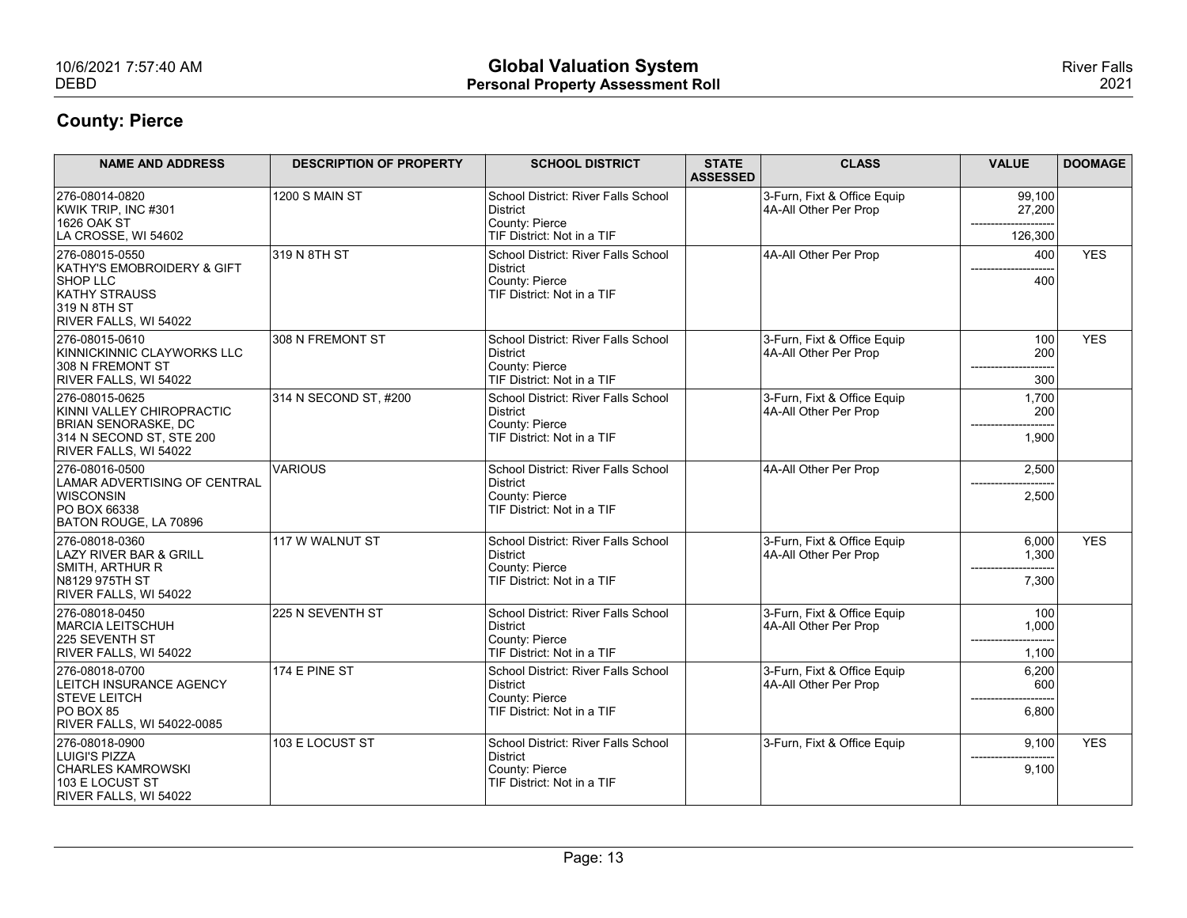| 10/6/2021 7:57:40 AM<br><b>DEBD</b>                                                                                     |                                | <b>Global Valuation System</b><br><b>Personal Property Assessment Roll</b>                                                    |                                 |                                                      |                                | <b>River Falls</b><br>2021 |
|-------------------------------------------------------------------------------------------------------------------------|--------------------------------|-------------------------------------------------------------------------------------------------------------------------------|---------------------------------|------------------------------------------------------|--------------------------------|----------------------------|
| <b>County: Pierce</b>                                                                                                   |                                |                                                                                                                               |                                 |                                                      |                                |                            |
| <b>NAME AND ADDRESS</b>                                                                                                 | <b>DESCRIPTION OF PROPERTY</b> | <b>SCHOOL DISTRICT</b>                                                                                                        | <b>STATE</b><br><b>ASSESSED</b> | <b>CLASS</b>                                         | <b>VALUE</b>                   | <b>DOOMAGE</b>             |
| 276-08014-0820<br>KWIK TRIP, INC #301<br>1626 OAK ST                                                                    | 1200 S MAIN ST                 | School District: River Falls School<br>District<br>County: Pierce                                                             |                                 | 3-Furn, Fixt & Office Equip<br>4A-All Other Per Prop | 99,100<br>27,200               |                            |
| LA CROSSE, WI 54602<br>276-08015-0550<br>KATHY'S EMOBROIDERY & GIFT<br>SHOP LLC<br><b>KATHY STRAUSS</b><br>319 N 8TH ST | 319 N 8TH ST                   | TIF District: Not in a TIF<br>School District: River Falls School<br>District<br>County: Pierce<br>TIF District: Not in a TIF |                                 | 4A-All Other Per Prop                                | 126,300<br>400<br>400          | <b>YES</b>                 |
| RIVER FALLS, WI 54022<br>276-08015-0610<br>KINNICKINNIC CLAYWORKS LLC<br>308 N FREMONT ST<br>RIVER FALLS, WI 54022      | 308 N FREMONT ST               | School District: River Falls School<br>District<br>County: Pierce<br>TIF District: Not in a TIF                               |                                 | 3-Furn, Fixt & Office Equip<br>4A-All Other Per Prop | 100<br>200<br>300              | <b>YES</b>                 |
| 276-08015-0625<br>KINNI VALLEY CHIROPRACTIC<br>BRIAN SENORASKE, DC<br>314 N SECOND ST, STE 200<br>RIVER FALLS, WI 54022 | 314 N SECOND ST, #200          | School District: River Falls School<br>District<br>County: Pierce<br>TIF District: Not in a TIF                               |                                 | 3-Furn, Fixt & Office Equip<br>4A-All Other Per Prop | 1,700<br>200<br>1,900          |                            |
| 276-08016-0500<br>LAMAR ADVERTISING OF CENTRAL<br>WISCONSIN<br>PO BOX 66338<br>BATON ROUGE, LA 70896                    | <b>VARIOUS</b>                 | School District: River Falls School<br>District<br>County: Pierce<br>TIF District: Not in a TIF                               |                                 | 4A-All Other Per Prop                                | 2,500<br>2,500                 |                            |
| 276-08018-0360<br>LAZY RIVER BAR & GRILL<br>SMITH, ARTHUR R<br>N8129 975TH ST<br>RIVER FALLS, WI 54022                  | 117 W WALNUT ST                | School District: River Falls School<br>District<br>County: Pierce<br>TIF District: Not in a TIF                               |                                 | 3-Furn, Fixt & Office Equip<br>4A-All Other Per Prop | 6,000<br>1,300<br>7,300        | <b>YES</b>                 |
| 276-08018-0450<br>MARCIA LEITSCHUH<br>225 SEVENTH ST<br>RIVER FALLS, WI 54022                                           | 225 N SEVENTH ST               | School District: River Falls School<br>District<br>County: Pierce<br>TIF District: Not in a TIF                               |                                 | 3-Furn, Fixt & Office Equip<br>4A-All Other Per Prop | 100<br>1,000<br>1,100          |                            |
| 276-08018-0700<br>LEITCH INSURANCE AGENCY<br><b>STEVE LEITCH</b><br>$PO$ BOX 85<br>RIVER FALLS, WI 54022-0085           | 174 E PINE ST                  | School District: River Falls School<br>District<br>County: Pierce<br>TIF District: Not in a TIF                               |                                 | 3-Furn, Fixt & Office Equip<br>4A-All Other Per Prop | 6,200<br>600<br>6,800          |                            |
| 276-08018-0900<br>LUIGI'S PIZZA<br><b>CHARLES KAMROWSKI</b><br>103 E LOCUST ST<br>RIVER FALLS, WI 54022                 | 103 E LOCUST ST                | School District: River Falls School<br>District<br>County: Pierce<br>TIF District: Not in a TIF                               |                                 | 3-Furn, Fixt & Office Equip                          | 9,100<br>------------<br>9,100 | <b>YES</b>                 |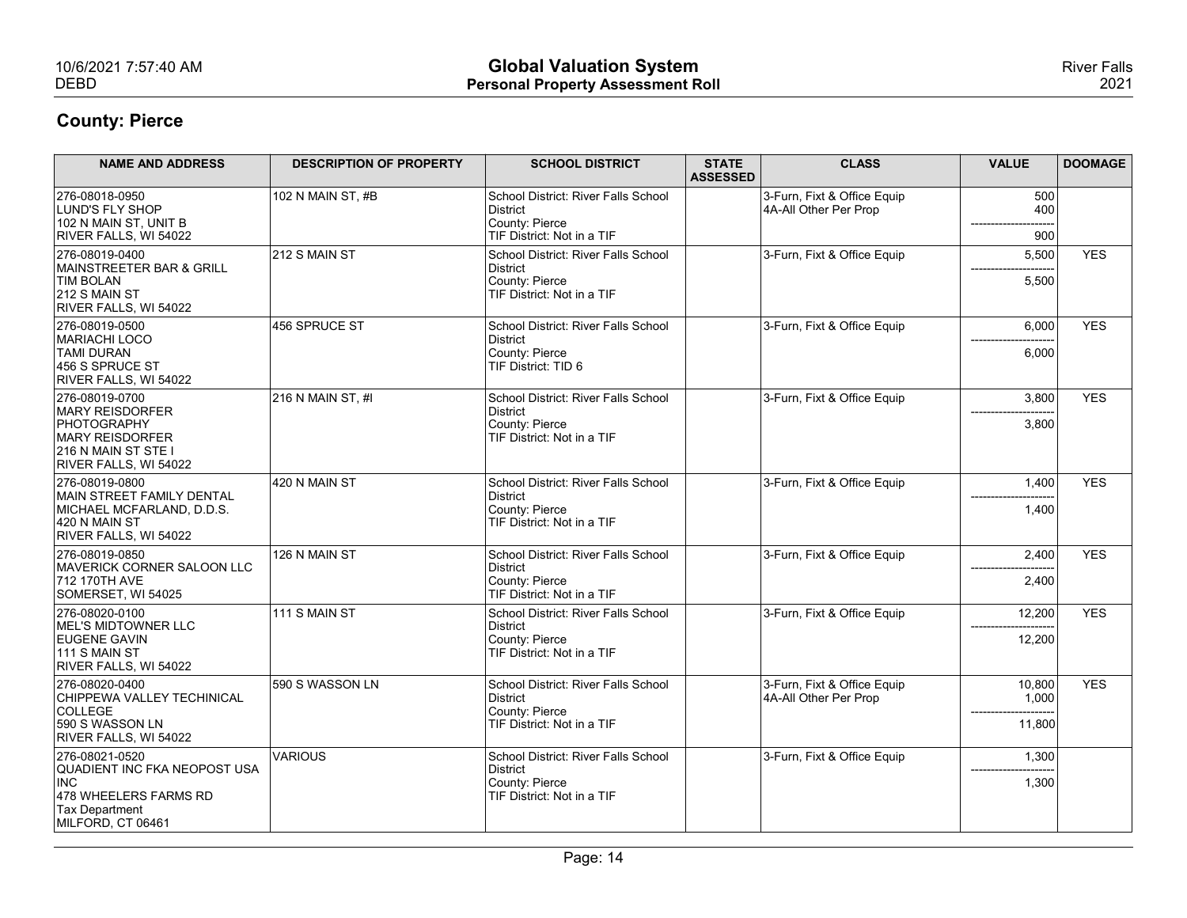| 10/6/2021 7:57:40 AM<br><b>DEBD</b>                             |                                | <b>Global Valuation System</b><br><b>Personal Property Assessment Roll</b> |                                 |                                                      |                     | <b>River Falls</b><br>2021 |
|-----------------------------------------------------------------|--------------------------------|----------------------------------------------------------------------------|---------------------------------|------------------------------------------------------|---------------------|----------------------------|
| <b>County: Pierce</b>                                           |                                |                                                                            |                                 |                                                      |                     |                            |
|                                                                 |                                |                                                                            |                                 |                                                      |                     |                            |
| <b>NAME AND ADDRESS</b>                                         | <b>DESCRIPTION OF PROPERTY</b> | <b>SCHOOL DISTRICT</b>                                                     | <b>STATE</b><br><b>ASSESSED</b> | <b>CLASS</b>                                         | <b>VALUE</b>        | <b>DOOMAGE</b>             |
| 276-08018-0950<br>LUND'S FLY SHOP                               | 102 N MAIN ST, #B              | School District: River Falls School<br>District                            |                                 | 3-Furn, Fixt & Office Equip<br>4A-All Other Per Prop | 500<br>400          |                            |
| 102 N MAIN ST, UNIT B<br>RIVER FALLS, WI 54022                  |                                | County: Pierce<br>TIF District: Not in a TIF                               |                                 |                                                      | 900                 |                            |
| 276-08019-0400                                                  | $212$ S MAIN ST                | School District: River Falls School                                        |                                 | 3-Furn, Fixt & Office Equip                          | 5,500               | <b>YES</b>                 |
| MAINSTREETER BAR & GRILL<br><b>TIM BOLAN</b>                    |                                | District<br>County: Pierce                                                 |                                 |                                                      | 5,500               |                            |
| $ 212 S$ MAIN ST<br>RIVER FALLS, WI 54022                       |                                | TIF District: Not in a TIF                                                 |                                 |                                                      |                     |                            |
| 276-08019-0500<br>MARIACHI LOCO                                 | 456 SPRUCE ST                  | School District: River Falls School<br>District                            |                                 | 3-Furn, Fixt & Office Equip                          | 6,000<br>$---$      | <b>YES</b>                 |
| <b>TAMI DURAN</b><br>456 S SPRUCE ST                            |                                | County: Pierce<br>TIF District: TID 6                                      |                                 |                                                      | 6,000               |                            |
| RIVER FALLS, WI 54022<br>276-08019-0700                         | $216 N$ MAIN ST, #I            | School District: River Falls School                                        |                                 | 3-Furn, Fixt & Office Equip                          | 3,800               | <b>YES</b>                 |
| MARY REISDORFER<br><b>PHOTOGRAPHY</b>                           |                                | District<br>County: Pierce                                                 |                                 |                                                      | 3,800               |                            |
| <b>MARY REISDORFER</b><br>216 N MAIN ST STE I                   |                                | TIF District: Not in a TIF                                                 |                                 |                                                      |                     |                            |
| RIVER FALLS, WI 54022                                           |                                |                                                                            |                                 |                                                      |                     |                            |
| 276-08019-0800<br>MAIN STREET FAMILY DENTAL                     | 420 N MAIN ST                  | School District: River Falls School<br>District                            |                                 | 3-Furn, Fixt & Office Equip                          | 1,400<br>-------    | <b>YES</b>                 |
| MICHAEL MCFARLAND, D.D.S.<br>420 N MAIN ST                      |                                | County: Pierce<br>TIF District: Not in a TIF                               |                                 |                                                      | 1,400               |                            |
| RIVER FALLS, WI 54022<br>276-08019-0850                         | 126 N MAIN ST                  | School District: River Falls School                                        |                                 | 3-Furn, Fixt & Office Equip                          | 2,400               | <b>YES</b>                 |
| MAVERICK CORNER SALOON LLC<br>712 170TH AVE                     |                                | District<br>County: Pierce                                                 |                                 |                                                      | 2,400               |                            |
| SOMERSET, WI 54025<br>276-08020-0100                            | <b>111 S MAIN ST</b>           | TIF District: Not in a TIF<br>School District: River Falls School          |                                 | 3-Furn, Fixt & Office Equip                          | 12,200              | <b>YES</b>                 |
| MEL'S MIDTOWNER LLC                                             |                                | District                                                                   |                                 |                                                      |                     |                            |
| <b>EUGENE GAVIN</b><br>$111$ S MAIN ST<br>RIVER FALLS, WI 54022 |                                | County: Pierce<br>TIF District: Not in a TIF                               |                                 |                                                      | 12,200              |                            |
| 276-08020-0400                                                  | 590 S WASSON LN                | School District: River Falls School                                        |                                 | 3-Furn, Fixt & Office Equip                          | 10,800              | <b>YES</b>                 |
| CHIPPEWA VALLEY TECHINICAL<br>COLLEGE                           |                                | District<br>County: Pierce                                                 |                                 | 4A-All Other Per Prop                                | 1,000<br>---------- |                            |
| 590 S WASSON LN<br>RIVER FALLS, WI 54022                        |                                | TIF District: Not in a TIF                                                 |                                 |                                                      | 11,800              |                            |
| 276-08021-0520<br>QUADIENT INC FKA NEOPOST USA                  | VARIOUS                        | School District: River Falls School<br>District                            |                                 | 3-Furn, Fixt & Office Equip                          | 1,300               |                            |
| INC                                                             |                                | County: Pierce<br>TIF District: Not in a TIF                               |                                 |                                                      | 1,300               |                            |
| 478 WHEELERS FARMS RD                                           |                                |                                                                            |                                 |                                                      |                     |                            |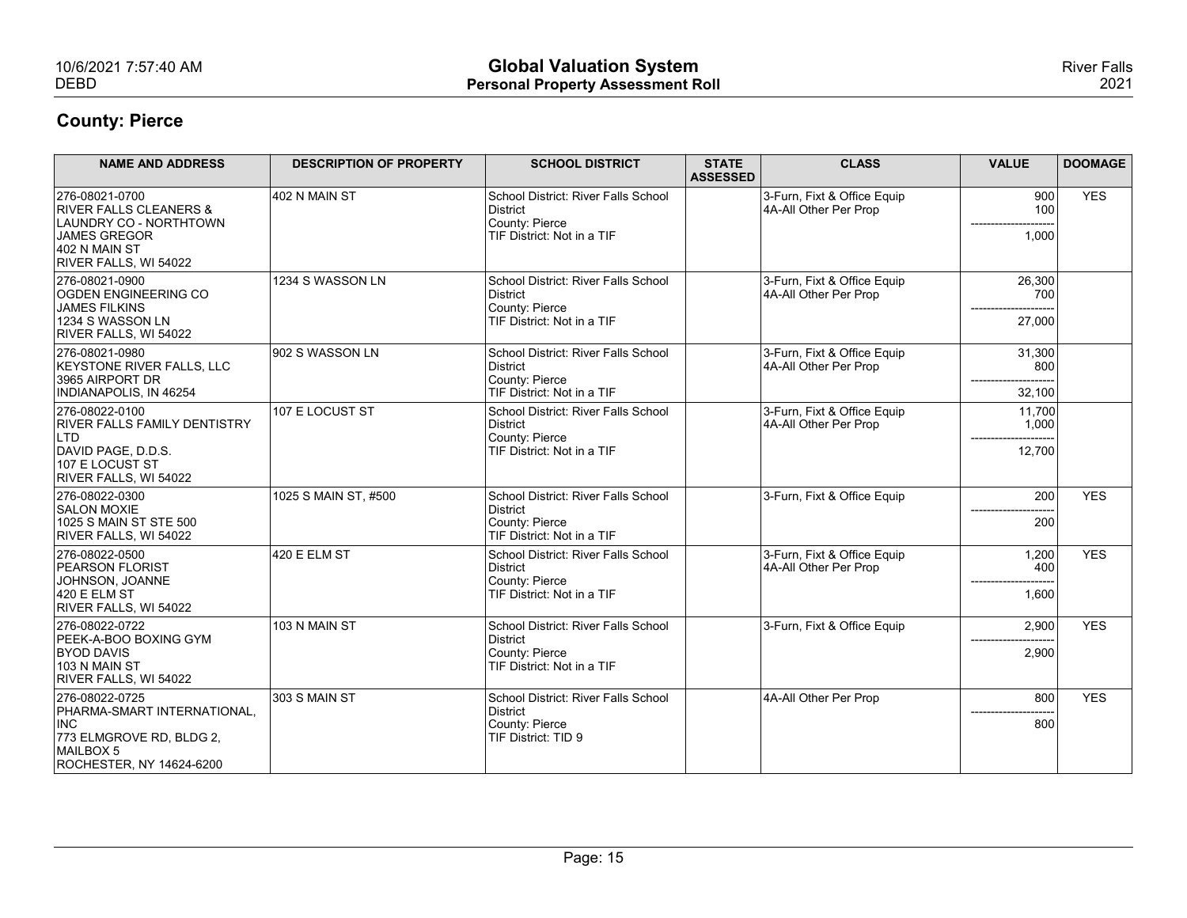| 10/6/2021 7:57:40 AM<br><b>DEBD</b>                                                                                                     |                                | <b>Global Valuation System</b><br><b>Personal Property Assessment Roll</b>                      |                                 |                                                      |                            | <b>River Falls</b><br>2021 |
|-----------------------------------------------------------------------------------------------------------------------------------------|--------------------------------|-------------------------------------------------------------------------------------------------|---------------------------------|------------------------------------------------------|----------------------------|----------------------------|
| <b>County: Pierce</b>                                                                                                                   |                                |                                                                                                 |                                 |                                                      |                            |                            |
| <b>NAME AND ADDRESS</b>                                                                                                                 | <b>DESCRIPTION OF PROPERTY</b> | <b>SCHOOL DISTRICT</b>                                                                          | <b>STATE</b><br><b>ASSESSED</b> | <b>CLASS</b>                                         | <b>VALUE</b>               | <b>DOOMAGE</b>             |
| 276-08021-0700<br><b>RIVER FALLS CLEANERS &amp;</b><br>LAUNDRY CO - NORTHTOWN<br>JAMES GREGOR<br>402 N MAIN ST<br>RIVER FALLS, WI 54022 | 402 N MAIN ST                  | School District: River Falls School<br>District<br>County: Pierce<br>TIF District: Not in a TIF |                                 | 3-Furn, Fixt & Office Equip<br>4A-All Other Per Prop | 900<br>100<br>1,000        | <b>YES</b>                 |
| 276-08021-0900<br>OGDEN ENGINEERING CO<br>JAMES FILKINS<br>1234 S WASSON LN<br>RIVER FALLS, WI 54022                                    | 1234 S WASSON LN               | School District: River Falls School<br>District<br>County: Pierce<br>TIF District: Not in a TIF |                                 | 3-Furn, Fixt & Office Equip<br>4A-All Other Per Prop | 26,300<br>700<br>27,000    |                            |
| 276-08021-0980<br>KEYSTONE RIVER FALLS, LLC<br>3965 AIRPORT DR<br>INDIANAPOLIS, IN 46254                                                | 902 S WASSON LN                | School District: River Falls School<br>District<br>County: Pierce<br>TIF District: Not in a TIF |                                 | 3-Furn, Fixt & Office Equip<br>4A-All Other Per Prop | 31,300<br>800<br>32,100    |                            |
| 276-08022-0100<br><b>RIVER FALLS FAMILY DENTISTRY</b><br>LTD<br>DAVID PAGE, D.D.S.<br>107 E LOCUST ST<br>RIVER FALLS, WI 54022          | 107 E LOCUST ST                | School District: River Falls School<br>District<br>County: Pierce<br>TIF District: Not in a TIF |                                 | 3-Furn, Fixt & Office Equip<br>4A-All Other Per Prop | 11,700<br>1,000<br>12,700  |                            |
| 276-08022-0300<br><b>SALON MOXIE</b><br>1025 S MAIN ST STE 500<br>RIVER FALLS, WI 54022                                                 | 1025 S MAIN ST, #500           | School District: River Falls School<br>District<br>County: Pierce<br>TIF District: Not in a TIF |                                 | 3-Furn, Fixt & Office Equip                          | 200<br>200                 | <b>YES</b>                 |
| 276-08022-0500<br><b>PEARSON FLORIST</b><br>JOHNSON, JOANNE<br>$420$ E ELM ST<br>RIVER FALLS, WI 54022                                  | 420 E ELM ST                   | School District: River Falls School<br>District<br>County: Pierce<br>TIF District: Not in a TIF |                                 | 3-Furn, Fixt & Office Equip<br>4A-All Other Per Prop | 1,200<br>400<br>1,600      | <b>YES</b>                 |
| 276-08022-0722<br>PEEK-A-BOO BOXING GYM<br><b>BYOD DAVIS</b><br>103 N MAIN ST<br>RIVER FALLS, WI 54022                                  | 103 N MAIN ST                  | School District: River Falls School<br>District<br>County: Pierce<br>TIF District: Not in a TIF |                                 | 3-Furn, Fixt & Office Equip                          | 2,900<br>2,900             | <b>YES</b>                 |
| 276-08022-0725<br>PHARMA-SMART INTERNATIONAL,<br>INC<br>773 ELMGROVE RD, BLDG 2,<br>MAILBOX 5<br>ROCHESTER, NY 14624-6200               | 303 S MAIN ST                  | School District: River Falls School<br>District<br>County: Pierce<br>TIF District: TID 9        |                                 | 4A-All Other Per Prop                                | 800<br>------------<br>800 | <b>YES</b>                 |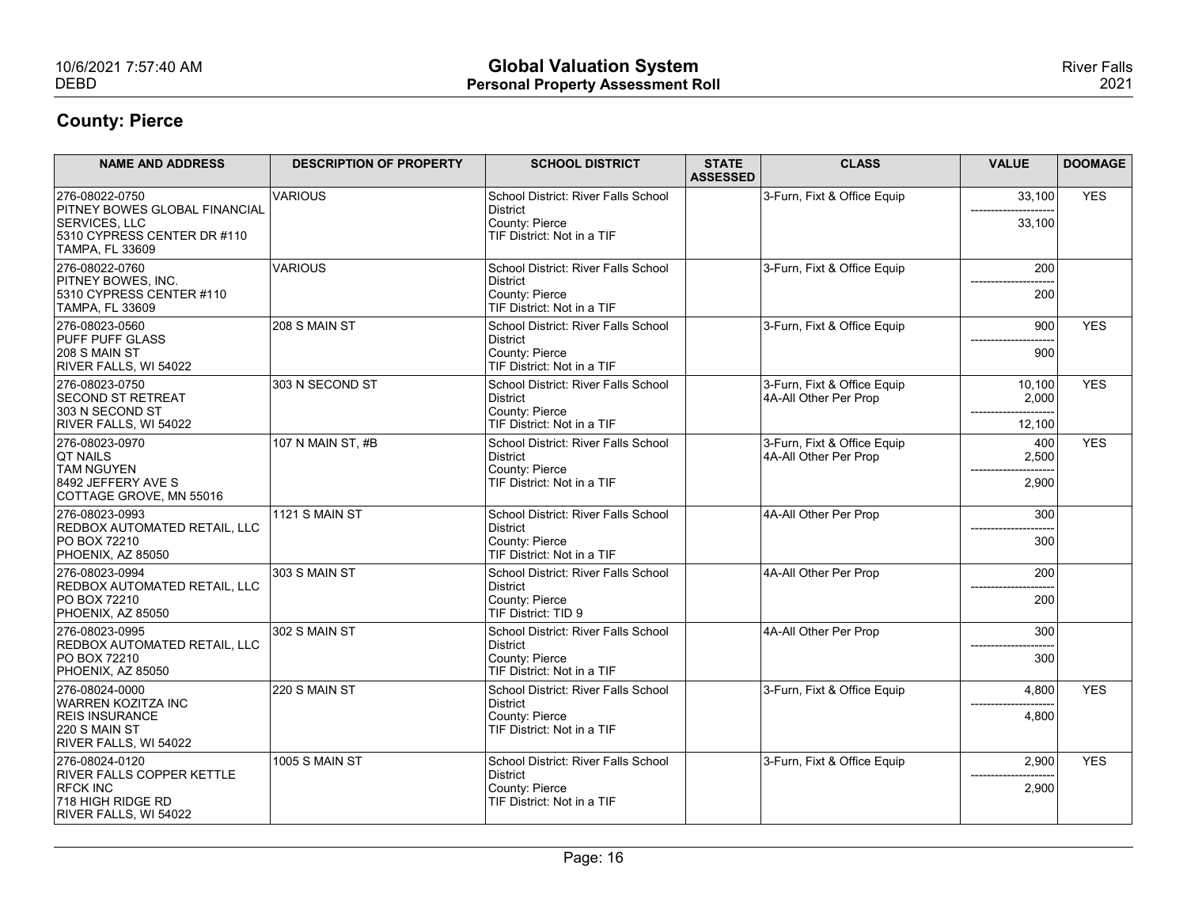| 10/6/2021 7:57:40 AM<br><b>DEBD</b>                                                                            |                                | <b>Global Valuation System</b><br><b>Personal Property Assessment Roll</b> |                 |                                                      |                 | <b>River Falls</b><br>2021 |
|----------------------------------------------------------------------------------------------------------------|--------------------------------|----------------------------------------------------------------------------|-----------------|------------------------------------------------------|-----------------|----------------------------|
| <b>County: Pierce</b>                                                                                          |                                |                                                                            |                 |                                                      |                 |                            |
| <b>NAME AND ADDRESS</b>                                                                                        | <b>DESCRIPTION OF PROPERTY</b> | <b>SCHOOL DISTRICT</b>                                                     | <b>STATE</b>    | <b>CLASS</b>                                         | <b>VALUE</b>    | <b>DOOMAGE</b>             |
| 276-08022-0750                                                                                                 | <b>VARIOUS</b>                 | School District: River Falls School                                        | <b>ASSESSED</b> | 3-Furn, Fixt & Office Equip                          | 33,100          | <b>YES</b>                 |
| <b>PITNEY BOWES GLOBAL FINANCIAL</b><br>SERVICES, LLC<br>5310 CYPRESS CENTER DR #110<br><b>TAMPA, FL 33609</b> |                                | District<br>County: Pierce<br>TIF District: Not in a TIF                   |                 |                                                      | 33,100          |                            |
| 276-08022-0760<br><b>PITNEY BOWES, INC.</b><br>5310 CYPRESS CENTER #110                                        | <b>VARIOUS</b>                 | School District: River Falls School<br>District<br>County: Pierce          |                 | 3-Furn, Fixt & Office Equip                          | 200<br>200      |                            |
| <b>TAMPA, FL 33609</b><br>276-08023-0560                                                                       | 208 S MAIN ST                  | TIF District: Not in a TIF<br>School District: River Falls School          |                 | 3-Furn, Fixt & Office Equip                          | 900             | <b>YES</b>                 |
| <b>PUFF PUFF GLASS</b><br>$ 208 S$ MAIN ST<br>RIVER FALLS, WI 54022                                            |                                | District<br>County: Pierce<br>TIF District: Not in a TIF                   |                 |                                                      | 900             |                            |
| 276-08023-0750<br><b>SECOND ST RETREAT</b><br>303 N SECOND ST                                                  | 303 N SECOND ST                | School District: River Falls School<br>District<br>County: Pierce          |                 | 3-Furn, Fixt & Office Equip<br>4A-All Other Per Prop | 10,100<br>2,000 | <b>YES</b>                 |
| RIVER FALLS, WI 54022<br>276-08023-0970                                                                        | 107 N MAIN ST, #B              | TIF District: Not in a TIF<br>School District: River Falls School          |                 | 3-Furn, Fixt & Office Equip                          | 12,100<br>400   | <b>YES</b>                 |
| <b>QT NAILS</b><br><b>TAM NGUYEN</b>                                                                           |                                | District<br>County: Pierce                                                 |                 | 4A-All Other Per Prop                                | 2,500           |                            |
| 8492 JEFFERY AVE S<br>COTTAGE GROVE, MN 55016                                                                  |                                | TIF District: Not in a TIF                                                 |                 |                                                      | 2,900           |                            |
| 276-08023-0993<br><b>REDBOX AUTOMATED RETAIL, LLC</b>                                                          | 1121 S MAIN ST                 | School District: River Falls School<br>District                            |                 | 4A-All Other Per Prop                                | 300             |                            |
| <b>PO BOX 72210</b><br>PHOENIX, AZ 85050                                                                       |                                | County: Pierce<br>TIF District: Not in a TIF                               |                 |                                                      | 300             |                            |
| 276-08023-0994<br>REDBOX AUTOMATED RETAIL, LLC                                                                 | 303 S MAIN ST                  | School District: River Falls School<br>District                            |                 | 4A-All Other Per Prop                                | 200             |                            |
| <b>PO BOX 72210</b><br>PHOENIX, AZ 85050                                                                       |                                | County: Pierce<br>TIF District: TID 9                                      |                 |                                                      | 200             |                            |
| 276-08023-0995<br>REDBOX AUTOMATED RETAIL, LLC                                                                 | 302 S MAIN ST                  | School District: River Falls School<br>District                            |                 | 4A-All Other Per Prop                                | 300             |                            |
| PO BOX 72210<br>PHOENIX, AZ 85050                                                                              |                                | County: Pierce<br>TIF District: Not in a TIF                               |                 |                                                      | 300             |                            |
| 276-08024-0000                                                                                                 | 220 S MAIN ST                  | School District: River Falls School                                        |                 | 3-Furn, Fixt & Office Equip                          | 4,800           | <b>YES</b>                 |
| <b>WARREN KOZITZA INC</b><br><b>REIS INSURANCE</b><br>$ 220 S$ MAIN ST<br>RIVER FALLS, WI 54022                |                                | District<br>County: Pierce<br>TIF District: Not in a TIF                   |                 |                                                      | ------<br>4,800 |                            |
| 276-08024-0120<br>RIVER FALLS COPPER KETTLE                                                                    | 1005 S MAIN ST                 | School District: River Falls School<br>District                            |                 | 3-Furn, Fixt & Office Equip                          | 2,900           | <b>YES</b>                 |
| <b>RFCK INC</b><br>718 HIGH RIDGE RD<br>RIVER FALLS, WI 54022                                                  |                                | County: Pierce<br>TIF District: Not in a TIF                               |                 |                                                      | 2,900           |                            |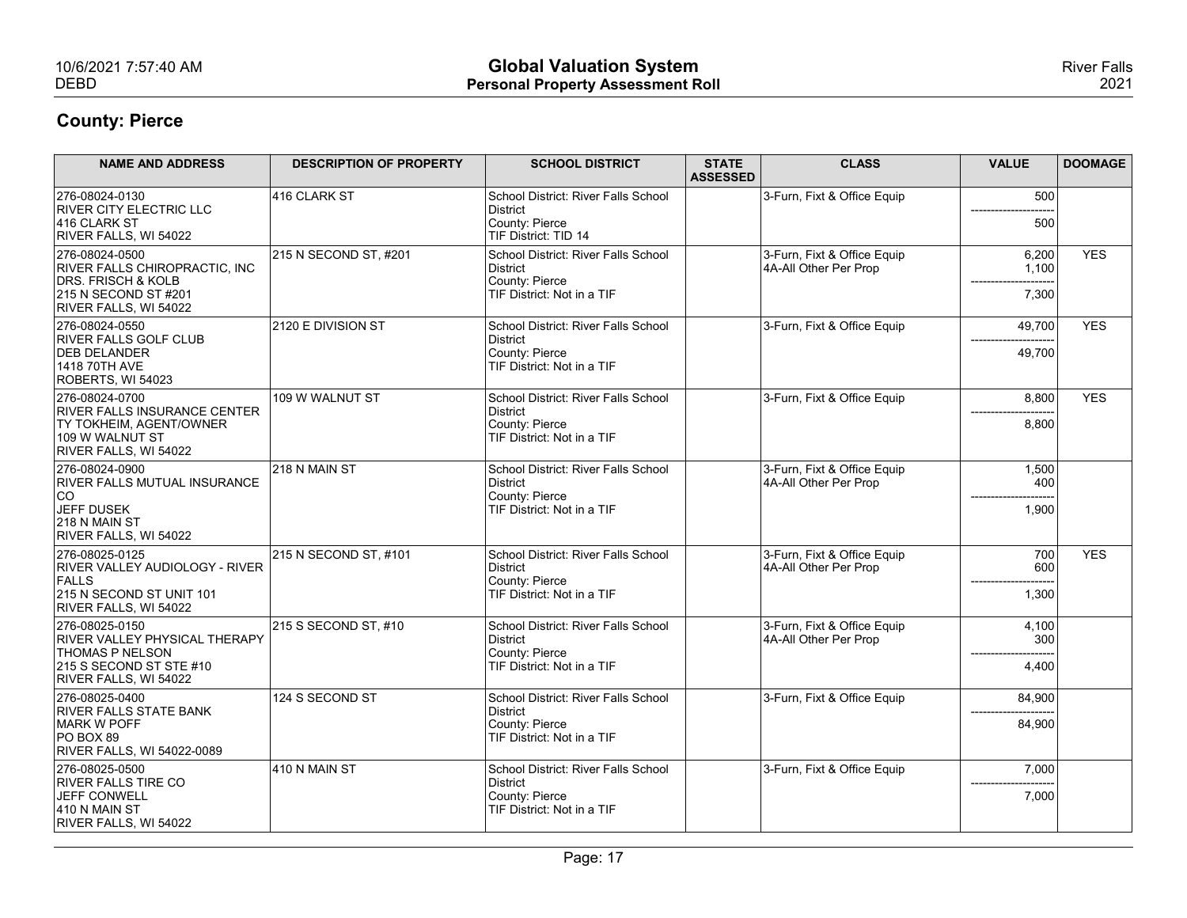| 10/6/2021 7:57:40 AM<br><b>DEBD</b>                                                                                                 |                                | <b>Global Valuation System</b><br><b>Personal Property Assessment Roll</b>                      |                                 |                                                      |                             | <b>River Falls</b><br>2021 |
|-------------------------------------------------------------------------------------------------------------------------------------|--------------------------------|-------------------------------------------------------------------------------------------------|---------------------------------|------------------------------------------------------|-----------------------------|----------------------------|
| <b>County: Pierce</b>                                                                                                               |                                |                                                                                                 |                                 |                                                      |                             |                            |
| <b>NAME AND ADDRESS</b>                                                                                                             | <b>DESCRIPTION OF PROPERTY</b> | <b>SCHOOL DISTRICT</b>                                                                          | <b>STATE</b><br><b>ASSESSED</b> | <b>CLASS</b>                                         | <b>VALUE</b>                | <b>DOOMAGE</b>             |
| 276-08024-0130<br><b>RIVER CITY ELECTRIC LLC</b><br>416 CLARK ST<br>RIVER FALLS, WI 54022                                           | 416 CLARK ST                   | School District: River Falls School<br>District<br>County: Pierce<br>TIF District: TID 14       |                                 | 3-Furn, Fixt & Office Equip                          | 500<br>500                  |                            |
| 276-08024-0500<br>RIVER FALLS CHIROPRACTIC, INC<br>DRS. FRISCH & KOLB<br>215 N SECOND ST #201                                       | 215 N SECOND ST, #201          | School District: River Falls School<br>District<br>County: Pierce<br>TIF District: Not in a TIF |                                 | 3-Furn, Fixt & Office Equip<br>4A-All Other Per Prop | 6,200<br>1,100<br>7,300     | <b>YES</b>                 |
| RIVER FALLS, WI 54022<br>276-08024-0550<br>RIVER FALLS GOLF CLUB<br><b>DEB DELANDER</b><br>1418 70TH AVE<br>ROBERTS, WI 54023       | 2120 E DIVISION ST             | School District: River Falls School<br>District<br>County: Pierce<br>TIF District: Not in a TIF |                                 | 3-Furn, Fixt & Office Equip                          | 49,700<br>49,700            | <b>YES</b>                 |
| 276-08024-0700<br><b>RIVER FALLS INSURANCE CENTER</b><br><b>TY TOKHEIM, AGENT/OWNER</b><br>109 W WALNUT ST<br>RIVER FALLS, WI 54022 | 109 W WALNUT ST                | School District: River Falls School<br>District<br>County: Pierce<br>TIF District: Not in a TIF |                                 | 3-Furn, Fixt & Office Equip                          | 8,800<br>8,800              | <b>YES</b>                 |
| 276-08024-0900<br><b>RIVER FALLS MUTUAL INSURANCE</b><br> CO<br>JEFF DUSEK<br>218 N MAIN ST<br>RIVER FALLS, WI 54022                | 218 N MAIN ST                  | School District: River Falls School<br>District<br>County: Pierce<br>TIF District: Not in a TIF |                                 | 3-Furn, Fixt & Office Equip<br>4A-All Other Per Prop | 1,500<br>400<br>1,900       |                            |
| 276-08025-0125<br>RIVER VALLEY AUDIOLOGY - RIVER<br>FALLS<br>215 N SECOND ST UNIT 101<br>RIVER FALLS, WI 54022                      | 215 N SECOND ST, #101          | School District: River Falls School<br>District<br>County: Pierce<br>TIF District: Not in a TIF |                                 | 3-Furn, Fixt & Office Equip<br>4A-All Other Per Prop | 700<br>600<br>1,300         | <b>YES</b>                 |
| 276-08025-0150<br>RIVER VALLEY PHYSICAL THERAPY<br><b>THOMAS P NELSON</b><br>$215$ S SECOND ST STE #10<br>RIVER FALLS, WI 54022     | 215 S SECOND ST, #10           | School District: River Falls School<br>District<br>County: Pierce<br>TIF District: Not in a TIF |                                 | 3-Furn, Fixt & Office Equip<br>4A-All Other Per Prop | 4,100<br>300<br>4,400       |                            |
| 276-08025-0400<br><b>RIVER FALLS STATE BANK</b><br>MARK W POFF<br>$PO$ BOX 89<br>RIVER FALLS, WI 54022-0089                         | 124 S SECOND ST                | School District: River Falls School<br>District<br>County: Pierce<br>TIF District: Not in a TIF |                                 | 3-Furn, Fixt & Office Equip                          | 84,900<br>-------<br>84,900 |                            |
| 276-08025-0500<br><b>RIVER FALLS TIRE CO</b><br>JEFF CONWELL<br>$410 N$ MAIN ST<br>RIVER FALLS, WI 54022                            | 410 N MAIN ST                  | School District: River Falls School<br>District<br>County: Pierce<br>TIF District: Not in a TIF |                                 | 3-Furn, Fixt & Office Equip                          | 7,000<br>7,000              |                            |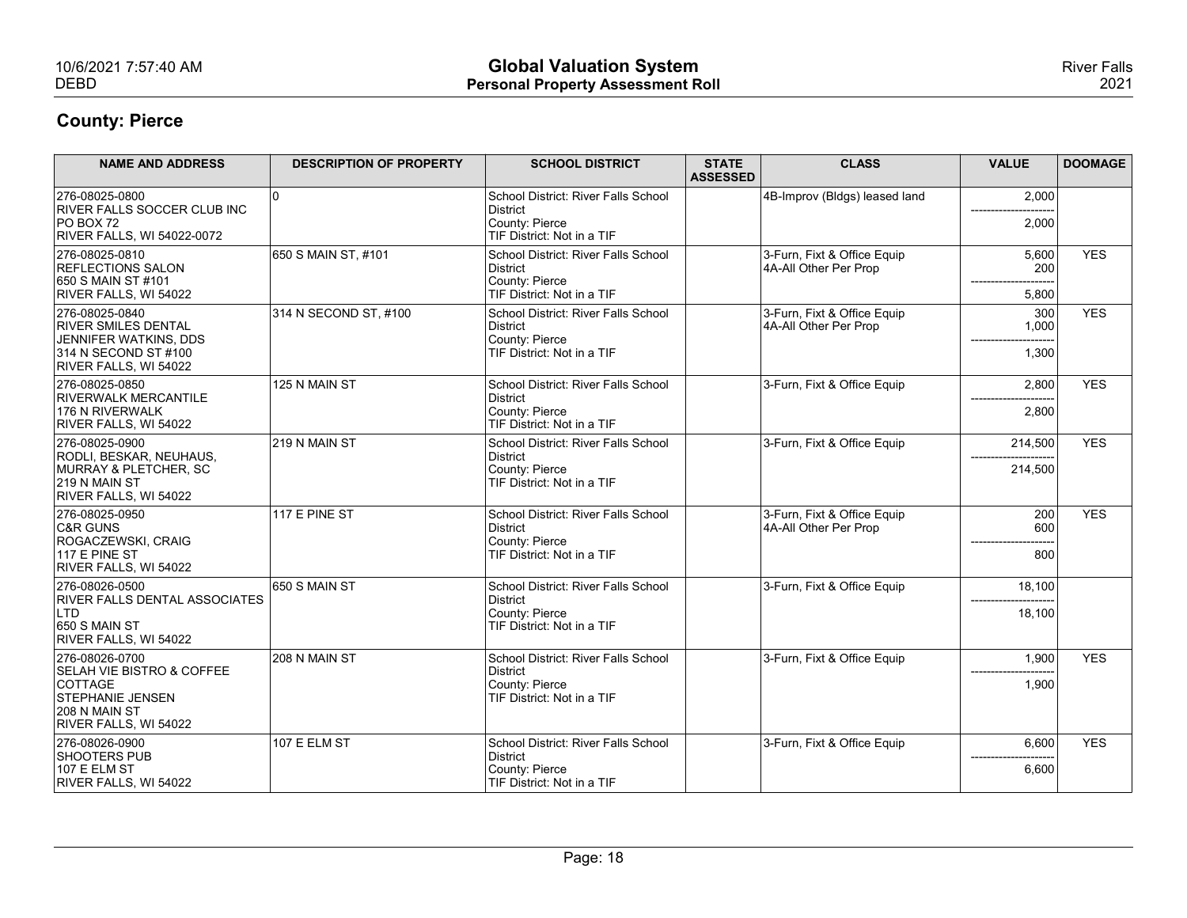| 10/6/2021 7:57:40 AM<br><b>DEBD</b>                                                                                                                         |                                | <b>Global Valuation System</b><br><b>Personal Property Assessment Roll</b>                      |                                 |                                                      |                                | <b>River Falls</b><br>2021 |
|-------------------------------------------------------------------------------------------------------------------------------------------------------------|--------------------------------|-------------------------------------------------------------------------------------------------|---------------------------------|------------------------------------------------------|--------------------------------|----------------------------|
| <b>County: Pierce</b>                                                                                                                                       |                                |                                                                                                 |                                 |                                                      |                                |                            |
| <b>NAME AND ADDRESS</b>                                                                                                                                     | <b>DESCRIPTION OF PROPERTY</b> | <b>SCHOOL DISTRICT</b>                                                                          | <b>STATE</b><br><b>ASSESSED</b> | <b>CLASS</b>                                         | <b>VALUE</b>                   | <b>DOOMAGE</b>             |
| 276-08025-0800<br><b>RIVER FALLS SOCCER CLUB INC</b><br>PO BOX 72<br>RIVER FALLS, WI 54022-0072                                                             | ۱n                             | School District: River Falls School<br>District<br>County: Pierce<br>TIF District: Not in a TIF |                                 | 4B-Improv (Bidgs) leased land                        | 2,000<br>2,000                 |                            |
| 276-08025-0810<br><b>REFLECTIONS SALON</b><br>650 S MAIN ST #101<br>RIVER FALLS, WI 54022                                                                   | 650 S MAIN ST, #101            | School District: River Falls School<br>District<br>County: Pierce<br>TIF District: Not in a TIF |                                 | 3-Furn, Fixt & Office Equip<br>4A-All Other Per Prop | 5,600<br>200<br>5,800          | <b>YES</b>                 |
| 276-08025-0840<br><b>RIVER SMILES DENTAL</b><br>JENNIFER WATKINS, DDS<br>314 N SECOND ST #100<br>RIVER FALLS, WI 54022                                      | 314 N SECOND ST, #100          | School District: River Falls School<br>District<br>County: Pierce<br>TIF District: Not in a TIF |                                 | 3-Furn, Fixt & Office Equip<br>4A-All Other Per Prop | 300<br>1,000<br>1,300          | <b>YES</b>                 |
| 276-08025-0850<br><b>RIVERWALK MERCANTILE</b><br>176 N RIVERWALK<br>RIVER FALLS, WI 54022                                                                   | 125 N MAIN ST                  | School District: River Falls School<br>District<br>County: Pierce<br>TIF District: Not in a TIF |                                 | 3-Furn, Fixt & Office Equip                          | 2,800<br>2,800                 | <b>YES</b>                 |
| 276-08025-0900<br>RODLI, BESKAR, NEUHAUS,<br>MURRAY & PLETCHER, SC<br>219 N MAIN ST<br>RIVER FALLS, WI 54022                                                | 219 N MAIN ST                  | School District: River Falls School<br>District<br>County: Pierce<br>TIF District: Not in a TIF |                                 | 3-Furn, Fixt & Office Equip                          | 214,500<br>214,500             | <b>YES</b>                 |
| 276-08025-0950<br>C&R GUNS<br>ROGACZEWSKI, CRAIG<br>117 E PINE ST<br>RIVER FALLS, WI 54022                                                                  | 117 E PINE ST                  | School District: River Falls School<br>District<br>County: Pierce<br>TIF District: Not in a TIF |                                 | 3-Furn, Fixt & Office Equip<br>4A-All Other Per Prop | 200<br>600<br>800              | <b>YES</b>                 |
| 276-08026-0500<br><b>RIVER FALLS DENTAL ASSOCIATES</b><br>L <sub>TD</sub><br>$650$ S MAIN ST                                                                | 650 S MAIN ST                  | School District: River Falls School<br>District<br>County: Pierce<br>TIF District: Not in a TIF |                                 | 3-Furn, Fixt & Office Equip                          | 18,100<br>18,100               |                            |
| RIVER FALLS, WI 54022<br>276-08026-0700<br>SELAH VIE BISTRO & COFFEE<br><b>COTTAGE</b><br><b>STEPHANIE JENSEN</b><br>208 N MAIN ST<br>RIVER FALLS, WI 54022 | 208 N MAIN ST                  | School District: River Falls School<br>District<br>County: Pierce<br>TIF District: Not in a TIF |                                 | 3-Furn, Fixt & Office Equip                          | 1,900<br>1,900                 | <b>YES</b>                 |
| 276-08026-0900<br>SHOOTERS PUB<br>107 E ELM ST<br>RIVER FALLS, WI 54022                                                                                     | 107 E ELM ST                   | School District: River Falls School<br>District<br>County: Pierce<br>TIF District: Not in a TIF |                                 | 3-Furn, Fixt & Office Equip                          | 6,600<br>------------<br>6,600 | <b>YES</b>                 |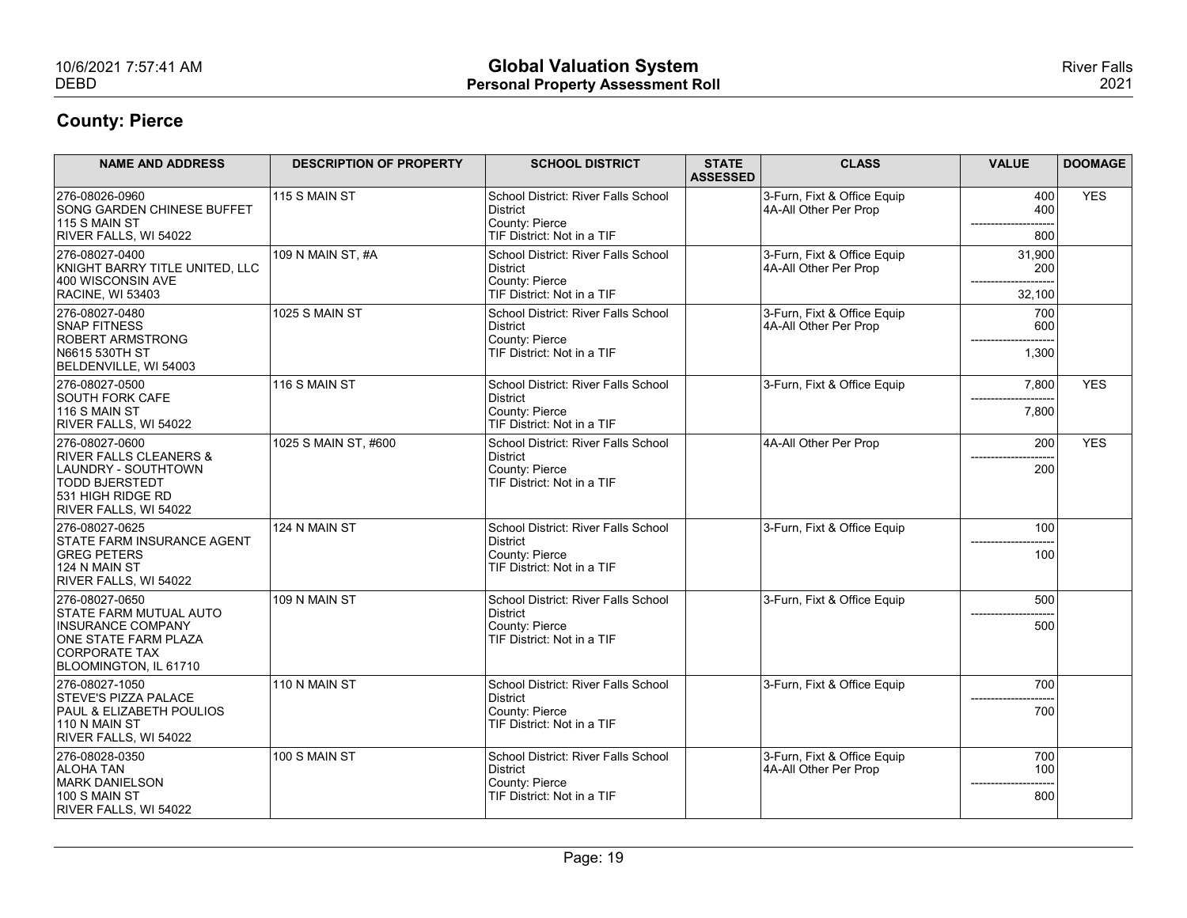| 10/6/2021 7:57:41 AM<br><b>DEBD</b>                                                                                                           |                                | <b>Global Valuation System</b><br><b>Personal Property Assessment Roll</b>                      |                                                      |                      | <b>River Falls</b><br>2021 |
|-----------------------------------------------------------------------------------------------------------------------------------------------|--------------------------------|-------------------------------------------------------------------------------------------------|------------------------------------------------------|----------------------|----------------------------|
| <b>County: Pierce</b>                                                                                                                         |                                |                                                                                                 |                                                      |                      |                            |
| <b>NAME AND ADDRESS</b>                                                                                                                       | <b>DESCRIPTION OF PROPERTY</b> | <b>STATE</b><br><b>SCHOOL DISTRICT</b><br><b>ASSESSED</b>                                       | <b>CLASS</b>                                         | <b>VALUE</b>         | <b>DOOMAGE</b>             |
| 276-08026-0960<br><b>SONG GARDEN CHINESE BUFFET</b><br>115 S MAIN ST                                                                          | 115 S MAIN ST                  | School District: River Falls School<br>District<br>County: Pierce<br>TIF District: Not in a TIF | 3-Furn, Fixt & Office Equip<br>4A-All Other Per Prop | 400<br>400           | <b>YES</b>                 |
| RIVER FALLS, WI 54022<br>276-08027-0400<br>KNIGHT BARRY TITLE UNITED, LLC<br>400 WISCONSIN AVE                                                | 109 N MAIN ST, #A              | School District: River Falls School<br>District<br>County: Pierce                               | 3-Furn, Fixt & Office Equip<br>4A-All Other Per Prop | 800<br>31,900<br>200 |                            |
| RACINE, WI 53403<br>276-08027-0480                                                                                                            | 1025 S MAIN ST                 | TIF District: Not in a TIF<br>School District: River Falls School                               | 3-Furn, Fixt & Office Equip                          | 32,100<br>700        |                            |
| <b>SNAP FITNESS</b><br>ROBERT ARMSTRONG<br>N6615 530TH ST<br>BELDENVILLE, WI 54003                                                            |                                | District<br>County: Pierce<br>TIF District: Not in a TIF                                        | 4A-All Other Per Prop                                | 600<br>1,300         |                            |
| 276-08027-0500<br>SOUTH FORK CAFE<br>116 S MAIN ST                                                                                            | 116 S MAIN ST                  | School District: River Falls School<br>District<br>County: Pierce                               | 3-Furn, Fixt & Office Equip                          | 7,800<br>7,800       | <b>YES</b>                 |
| RIVER FALLS, WI 54022<br>276-08027-0600                                                                                                       | 1025 S MAIN ST, #600           | TIF District: Not in a TIF<br>School District: River Falls School                               | 4A-All Other Per Prop                                | 200                  | <b>YES</b>                 |
| <b>RIVER FALLS CLEANERS &amp;</b><br>LAUNDRY - SOUTHTOWN<br><b>TODD BJERSTEDT</b><br>531 HIGH RIDGE RD<br>RIVER FALLS, WI 54022               |                                | District<br>County: Pierce<br>TIF District: Not in a TIF                                        |                                                      | 200                  |                            |
| 276-08027-0625<br>STATE FARM INSURANCE AGENT                                                                                                  | 124 N MAIN ST                  | School District: River Falls School<br>District                                                 | 3-Furn, Fixt & Office Equip                          | 100                  |                            |
| <b>GREG PETERS</b><br><b>124 N MAIN ST</b><br>RIVER FALLS, WI 54022                                                                           |                                | County: Pierce<br>TIF District: Not in a TIF                                                    |                                                      | 100                  |                            |
| 276-08027-0650<br><b>STATE FARM MUTUAL AUTO</b><br><b>INSURANCE COMPANY</b><br>ONE STATE FARM PLAZA<br>CORPORATE TAX<br>BLOOMINGTON, IL 61710 | 109 N MAIN ST                  | School District: River Falls School<br>District<br>County: Pierce<br>TIF District: Not in a TIF | 3-Furn, Fixt & Office Equip                          | 500<br>500           |                            |
| 276-08027-1050<br><b>STEVE'S PIZZA PALACE</b><br>PAUL & ELIZABETH POULIOS<br>$110 N$ MAIN ST<br>RIVER FALLS, WI 54022                         | 110 N MAIN ST                  | School District: River Falls School<br>District<br>County: Pierce<br>TIF District: Not in a TIF | 3-Furn, Fixt & Office Equip                          | 700<br>700           |                            |
| 276-08028-0350<br><b>ALOHA TAN</b><br><b>MARK DANIELSON</b><br>100 S MAIN ST<br>RIVER FALLS, WI 54022                                         | 100 S MAIN ST                  | School District: River Falls School<br>District<br>County: Pierce<br>TIF District: Not in a TIF | 3-Furn, Fixt & Office Equip<br>4A-All Other Per Prop | 700<br>100<br>800    |                            |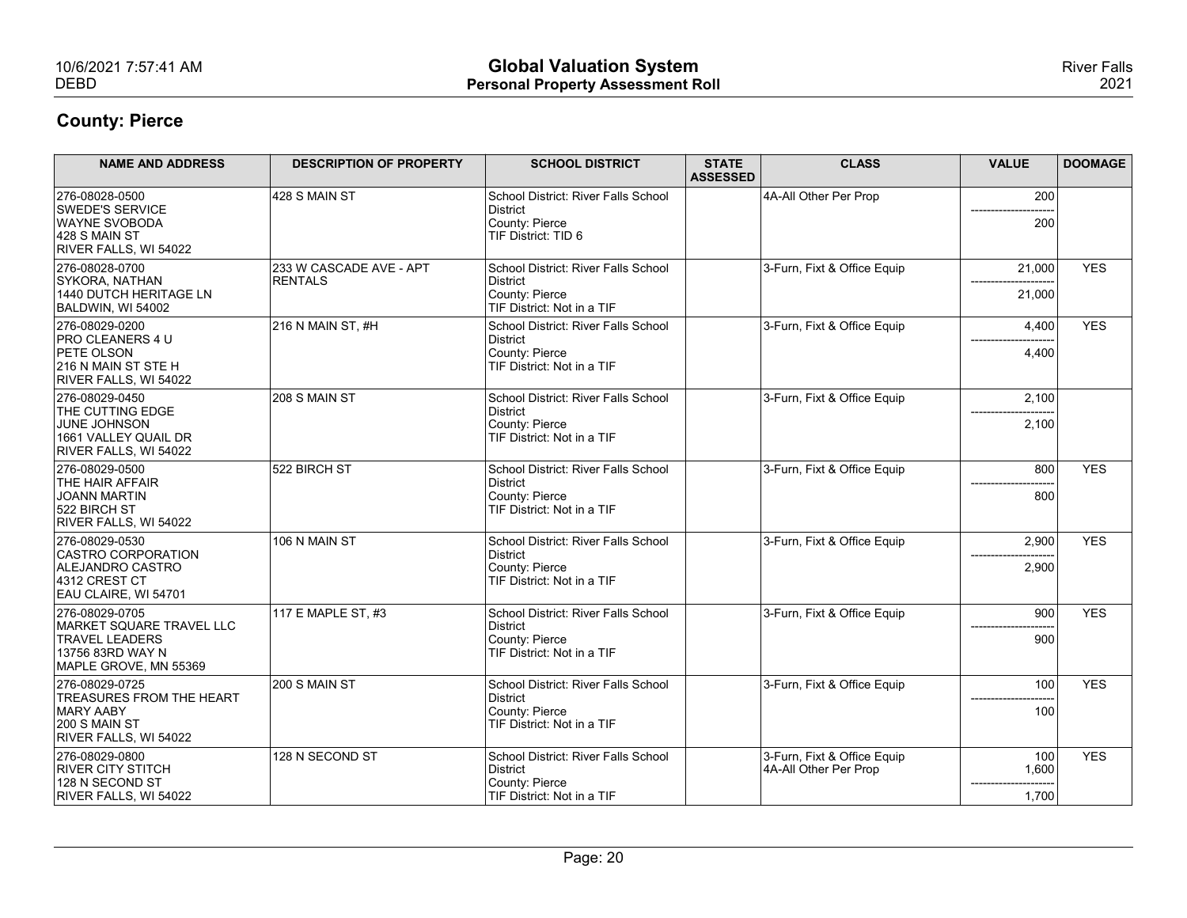| 10/6/2021 7:57:41 AM                                               |                                | <b>Global Valuation System</b>                           |                 |                                                      |               | <b>River Falls</b> |
|--------------------------------------------------------------------|--------------------------------|----------------------------------------------------------|-----------------|------------------------------------------------------|---------------|--------------------|
| <b>DEBD</b>                                                        |                                | <b>Personal Property Assessment Roll</b>                 |                 |                                                      |               | 2021               |
| <b>County: Pierce</b>                                              |                                |                                                          |                 |                                                      |               |                    |
| <b>NAME AND ADDRESS</b>                                            | <b>DESCRIPTION OF PROPERTY</b> | <b>SCHOOL DISTRICT</b>                                   | <b>STATE</b>    | <b>CLASS</b>                                         | <b>VALUE</b>  | <b>DOOMAGE</b>     |
|                                                                    |                                |                                                          | <b>ASSESSED</b> |                                                      |               |                    |
| 276-08028-0500<br><b>SWEDE'S SERVICE</b>                           | $ 428S$ MAIN ST                | School District: River Falls School<br>District          |                 | 4A-All Other Per Prop                                | 200           |                    |
| <b>WAYNE SVOBODA</b><br>$ 428S$ MAIN ST                            |                                | County: Pierce<br>TIF District: TID 6                    |                 |                                                      | 200           |                    |
| RIVER FALLS, WI 54022<br>276-08028-0700                            | 233 W CASCADE AVE - APT        | School District: River Falls School                      |                 | 3-Furn, Fixt & Office Equip                          | 21,000        | <b>YES</b>         |
| SYKORA, NATHAN<br>1440 DUTCH HERITAGE LN<br>BALDWIN, WI 54002      | <b>RENTALS</b>                 | District<br>County: Pierce<br>TIF District: Not in a TIF |                 |                                                      | 21,000        |                    |
| 276-08029-0200                                                     | $ 216 N$ MAIN ST, #H           | School District: River Falls School                      |                 | 3-Furn, Fixt & Office Equip                          | 4,400         | <b>YES</b>         |
| <b>PRO CLEANERS 4 U</b><br><b>PETE OLSON</b>                       |                                | District<br>County: Pierce                               |                 |                                                      | ----<br>4,400 |                    |
| 216 N MAIN ST STE H<br>RIVER FALLS, WI 54022                       |                                | TIF District: Not in a TIF                               |                 |                                                      |               |                    |
| 276-08029-0450<br>THE CUTTING EDGE                                 | 208 S MAIN ST                  | School District: River Falls School<br>District          |                 | 3-Furn, Fixt & Office Equip                          | 2,100         |                    |
| JUNE JOHNSON<br>1661 VALLEY QUAIL DR                               |                                | County: Pierce<br>TIF District: Not in a TIF             |                 |                                                      | 2,100         |                    |
| RIVER FALLS, WI 54022<br>276-08029-0500                            | 522 BIRCH ST                   | School District: River Falls School                      |                 | 3-Furn, Fixt & Office Equip                          | 800           | <b>YES</b>         |
| THE HAIR AFFAIR<br>JOANN MARTIN                                    |                                | District<br>County: Pierce                               |                 |                                                      | 800           |                    |
| 522 BIRCH ST<br>RIVER FALLS, WI 54022                              |                                | TIF District: Not in a TIF                               |                 |                                                      |               |                    |
| 276-08029-0530<br>CASTRO CORPORATION                               | 106 N MAIN ST                  | School District: River Falls School<br>District          |                 | 3-Furn, Fixt & Office Equip                          | 2,900         | <b>YES</b>         |
| ALEJANDRO CASTRO<br>4312 CREST CT                                  |                                | County: Pierce<br>TIF District: Not in a TIF             |                 |                                                      | 2,900         |                    |
| EAU CLAIRE, WI 54701                                               |                                |                                                          |                 |                                                      |               |                    |
| 276-08029-0705<br>MARKET SQUARE TRAVEL LLC                         | 117 E MAPLE ST, #3             | School District: River Falls School<br>District          |                 | 3-Furn, Fixt & Office Equip                          | 900           | <b>YES</b>         |
| <b>TRAVEL LEADERS</b><br>13756 83RD WAY N<br>MAPLE GROVE, MN 55369 |                                | County: Pierce<br>TIF District: Not in a TIF             |                 |                                                      | 900           |                    |
| 276-08029-0725                                                     | 200 S MAIN ST                  | School District: River Falls School                      |                 | 3-Furn, Fixt & Office Equip                          | 100           | <b>YES</b>         |
| <b>TREASURES FROM THE HEART</b><br>MARY AABY                       |                                | District<br>County: Pierce                               |                 |                                                      | 100           |                    |
| 200 S MAIN ST<br>RIVER FALLS, WI 54022                             |                                | TIF District: Not in a TIF                               |                 |                                                      |               |                    |
| 276-08029-0800                                                     | 128 N SECOND ST                | School District: River Falls School<br>District          |                 | 3-Furn, Fixt & Office Equip<br>4A-All Other Per Prop | 100<br>1,600  | <b>YES</b>         |
| <b>RIVER CITY STITCH</b>                                           |                                | County: Pierce                                           |                 |                                                      |               |                    |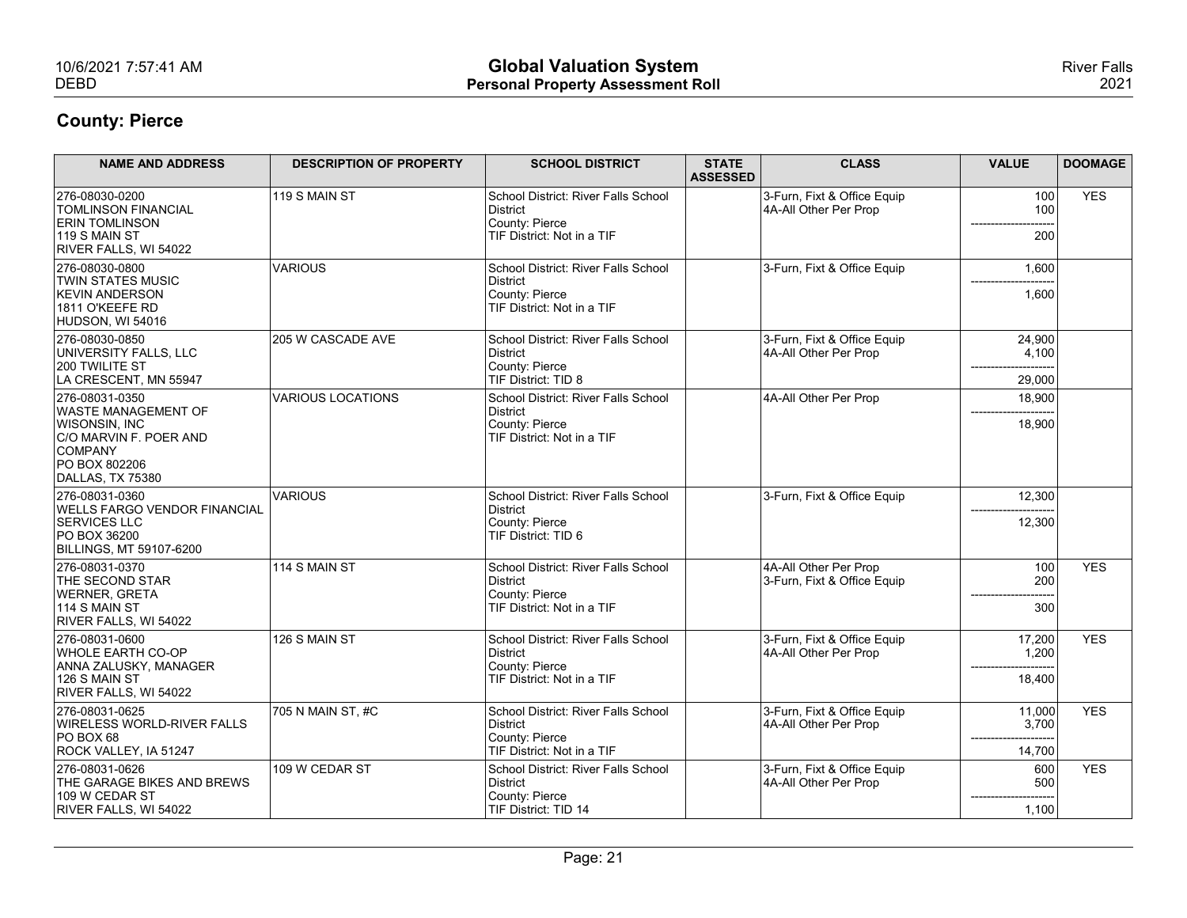| 10/6/2021 7:57:41 AM<br><b>DEBD</b>                                                                                                            |                                | <b>Global Valuation System</b><br><b>Personal Property Assessment Roll</b>                                              |                                 |                                                      |                                                         | <b>River Falls</b><br>2021 |
|------------------------------------------------------------------------------------------------------------------------------------------------|--------------------------------|-------------------------------------------------------------------------------------------------------------------------|---------------------------------|------------------------------------------------------|---------------------------------------------------------|----------------------------|
| <b>County: Pierce</b>                                                                                                                          |                                |                                                                                                                         |                                 |                                                      |                                                         |                            |
| <b>NAME AND ADDRESS</b>                                                                                                                        | <b>DESCRIPTION OF PROPERTY</b> | <b>SCHOOL DISTRICT</b>                                                                                                  | <b>STATE</b><br><b>ASSESSED</b> | <b>CLASS</b>                                         | <b>VALUE</b>                                            | <b>DOOMAGE</b>             |
| 276-08030-0200<br><b>TOMLINSON FINANCIAL</b><br><b>ERIN TOMLINSON</b><br>$119$ S MAIN ST                                                       | $119$ S MAIN ST                | School District: River Falls School<br>District<br>County: Pierce<br>TIF District: Not in a TIF                         |                                 | 3-Furn, Fixt & Office Equip<br>4A-All Other Per Prop | 100<br>100                                              | <b>YES</b>                 |
| RIVER FALLS, WI 54022                                                                                                                          |                                |                                                                                                                         |                                 |                                                      | 200                                                     |                            |
| 276-08030-0800<br><b>TWIN STATES MUSIC</b><br><b>KEVIN ANDERSON</b><br>1811 O'KEEFE RD<br>HUDSON, WI 54016                                     | VARIOUS                        | School District: River Falls School<br>District<br>County: Pierce<br>TIF District: Not in a TIF                         |                                 | 3-Furn, Fixt & Office Equip                          | 1,600<br>1,600                                          |                            |
| 276-08030-0850<br>UNIVERSITY FALLS, LLC<br>200 TWILITE ST<br>LA CRESCENT, MN 55947                                                             | 205 W CASCADE AVE              | School District: River Falls School<br>District<br>County: Pierce<br>TIF District: TID 8                                |                                 | 3-Furn, Fixt & Office Equip<br>4A-All Other Per Prop | 24,900<br>4,100<br>29,000                               |                            |
| 276-08031-0350<br><b>WASTE MANAGEMENT OF</b><br>WISONSIN, INC<br>C/O MARVIN F. POER AND<br><b>COMPANY</b><br>PO BOX 802206<br>DALLAS, TX 75380 | VARIOUS LOCATIONS              | School District: River Falls School<br>District<br>County: Pierce<br>TIF District: Not in a TIF                         |                                 | 4A-All Other Per Prop                                | 18,900<br>18,900                                        |                            |
| 276-08031-0360<br><b>WELLS FARGO VENDOR FINANCIAL</b><br><b>SERVICES LLC</b><br>PO BOX 36200<br><b>BILLINGS, MT 59107-6200</b>                 | VARIOUS                        | School District: River Falls School<br>District<br>County: Pierce<br>TIF District: TID 6                                |                                 | 3-Furn, Fixt & Office Equip                          | 12,300<br>12,300                                        |                            |
| 276-08031-0370<br><b>THE SECOND STAR</b><br><b>WERNER, GRETA</b><br>114 S MAIN ST                                                              | $114$ S MAIN ST                | School District: River Falls School<br>District<br>County: Pierce<br>TIF District: Not in a TIF                         |                                 | 4A-All Other Per Prop<br>3-Furn, Fixt & Office Equip | 100<br>200<br>------------<br>300                       | <b>YES</b>                 |
| RIVER FALLS, WI 54022<br>276-08031-0600<br><b>WHOLE EARTH CO-OP</b><br>ANNA ZALUSKY, MANAGER<br>$126$ S MAIN ST                                | 126 S MAIN ST                  | School District: River Falls School<br>District<br>County: Pierce<br>TIF District: Not in a TIF                         |                                 | 3-Furn, Fixt & Office Equip<br>4A-All Other Per Prop | 17,200<br>1,200<br>--------<br>18,400                   | <b>YES</b>                 |
| RIVER FALLS, WI 54022<br>276-08031-0625<br>WIRELESS WORLD-RIVER FALLS<br>$PO$ BOX 68                                                           | 705 N MAIN ST, #C              | School District: River Falls School<br>District<br>County: Pierce                                                       |                                 | 3-Furn, Fixt & Office Equip<br>4A-All Other Per Prop | 11,000<br>3,700                                         | <b>YES</b>                 |
| ROCK VALLEY, IA 51247<br>276-08031-0626<br>THE GARAGE BIKES AND BREWS<br>109 W CEDAR ST<br>RIVER FALLS, WI 54022                               | 109 W CEDAR ST                 | TIF District: Not in a TIF<br>School District: River Falls School<br>District<br>County: Pierce<br>TIF District: TID 14 |                                 | 3-Furn, Fixt & Office Equip<br>4A-All Other Per Prop | 14,700<br>600<br>500<br>------<br>------------<br>1,100 | <b>YES</b>                 |